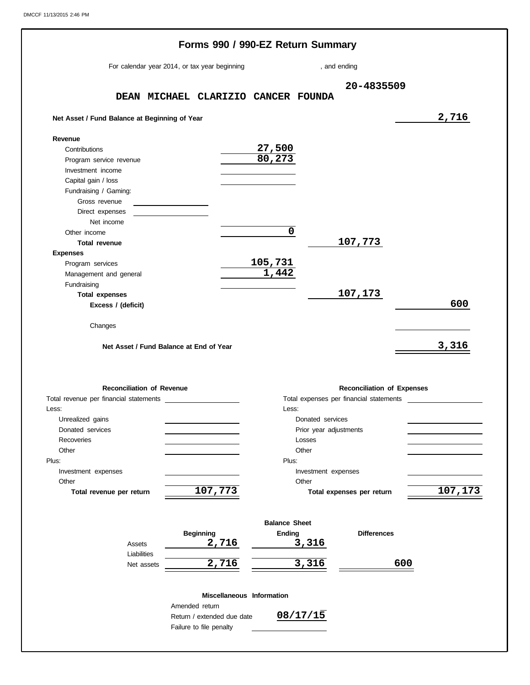|                                                          | For calendar year 2014, or tax year beginning |                        | , and ending                                                                 |              |
|----------------------------------------------------------|-----------------------------------------------|------------------------|------------------------------------------------------------------------------|--------------|
|                                                          |                                               |                        | 20-4835509                                                                   |              |
|                                                          | DEAN MICHAEL CLARIZIO CANCER FOUNDA           |                        |                                                                              |              |
| Net Asset / Fund Balance at Beginning of Year            |                                               |                        |                                                                              | 2,716        |
| Revenue                                                  |                                               |                        |                                                                              |              |
| Contributions                                            |                                               | 27,500                 |                                                                              |              |
| Program service revenue                                  |                                               | 80,273                 |                                                                              |              |
| Investment income                                        |                                               |                        |                                                                              |              |
| Capital gain / loss                                      |                                               |                        |                                                                              |              |
| Fundraising / Gaming:                                    |                                               |                        |                                                                              |              |
| Gross revenue                                            |                                               |                        |                                                                              |              |
| Direct expenses<br>Net income                            |                                               |                        |                                                                              |              |
| Other income                                             |                                               | $\mathbf 0$            |                                                                              |              |
| <b>Total revenue</b>                                     |                                               |                        | 107,773                                                                      |              |
| <b>Expenses</b>                                          |                                               |                        |                                                                              |              |
| Program services                                         |                                               | <u> 105,731</u>        |                                                                              |              |
| Management and general                                   |                                               | 1,442                  |                                                                              |              |
| Fundraising                                              |                                               |                        |                                                                              |              |
| <b>Total expenses</b>                                    |                                               |                        | 107,173                                                                      |              |
| Excess / (deficit)                                       |                                               |                        |                                                                              | 600          |
| Changes                                                  | Net Asset / Fund Balance at End of Year       |                        |                                                                              | <u>3,316</u> |
| Reconciliation of Revenue                                |                                               |                        |                                                                              |              |
|                                                          |                                               |                        | <b>Reconciliation of Expenses</b><br>Total expenses per financial statements |              |
|                                                          |                                               | Less:                  |                                                                              |              |
| Unrealized gains                                         |                                               | Donated services       |                                                                              |              |
| Donated services                                         |                                               | Prior year adjustments |                                                                              |              |
| Recoveries                                               |                                               | Losses                 |                                                                              |              |
| Other                                                    |                                               | Other                  |                                                                              |              |
|                                                          |                                               | Plus:                  |                                                                              |              |
| Investment expenses                                      |                                               | Investment expenses    |                                                                              |              |
| Other<br>Total revenue per return                        | 107,773                                       | Other                  | Total expenses per return                                                    |              |
| Total revenue per financial statements<br>Less:<br>Plus: |                                               |                        |                                                                              | 107,173      |
|                                                          |                                               | <b>Balance Sheet</b>   |                                                                              |              |
|                                                          | <b>Beginning</b>                              | <b>Ending</b>          | <b>Differences</b>                                                           |              |
| Assets                                                   | 2,716                                         | 3,316                  |                                                                              |              |
| Liabilities<br>Net assets                                | 2,716                                         | 3,316                  | 600                                                                          |              |
|                                                          |                                               |                        |                                                                              |              |
|                                                          | Miscellaneous Information                     |                        |                                                                              |              |
|                                                          | Amended return<br>Return / extended due date  | 08/17/15               |                                                                              |              |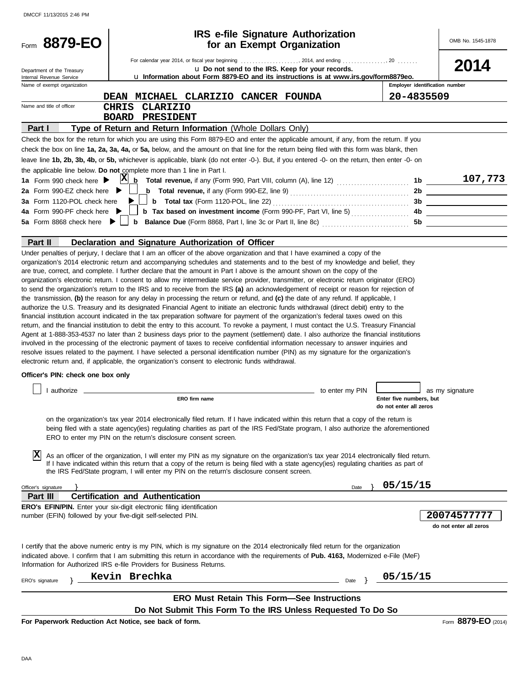| DMCCF 11/13/2015 2:46 PM                                                       |                                                                                                                                                                                                                                                                                                                                                                                                                                                                                                                                                                                                                                                                                                                                                                                                                                                                                                                                                                                                                                                                                                                                                                                                                                                                                                                                                                                         |           |                                                   |                                       |
|--------------------------------------------------------------------------------|-----------------------------------------------------------------------------------------------------------------------------------------------------------------------------------------------------------------------------------------------------------------------------------------------------------------------------------------------------------------------------------------------------------------------------------------------------------------------------------------------------------------------------------------------------------------------------------------------------------------------------------------------------------------------------------------------------------------------------------------------------------------------------------------------------------------------------------------------------------------------------------------------------------------------------------------------------------------------------------------------------------------------------------------------------------------------------------------------------------------------------------------------------------------------------------------------------------------------------------------------------------------------------------------------------------------------------------------------------------------------------------------|-----------|---------------------------------------------------|---------------------------------------|
| Form 8879-EO                                                                   | <b>IRS e-file Signature Authorization</b><br>for an Exempt Organization                                                                                                                                                                                                                                                                                                                                                                                                                                                                                                                                                                                                                                                                                                                                                                                                                                                                                                                                                                                                                                                                                                                                                                                                                                                                                                                 |           |                                                   | OMB No. 1545-1878                     |
|                                                                                |                                                                                                                                                                                                                                                                                                                                                                                                                                                                                                                                                                                                                                                                                                                                                                                                                                                                                                                                                                                                                                                                                                                                                                                                                                                                                                                                                                                         |           |                                                   |                                       |
| Department of the Treasury                                                     | u Do not send to the IRS. Keep for your records.<br>La Information about Form 8879-EO and its instructions is at www.irs.gov/form8879eo.                                                                                                                                                                                                                                                                                                                                                                                                                                                                                                                                                                                                                                                                                                                                                                                                                                                                                                                                                                                                                                                                                                                                                                                                                                                |           |                                                   | 2014                                  |
| Internal Revenue Service<br>Name of exempt organization                        |                                                                                                                                                                                                                                                                                                                                                                                                                                                                                                                                                                                                                                                                                                                                                                                                                                                                                                                                                                                                                                                                                                                                                                                                                                                                                                                                                                                         |           |                                                   | Employer identification number        |
|                                                                                | DEAN MICHAEL CLARIZIO CANCER FOUNDA                                                                                                                                                                                                                                                                                                                                                                                                                                                                                                                                                                                                                                                                                                                                                                                                                                                                                                                                                                                                                                                                                                                                                                                                                                                                                                                                                     |           | 20-4835509                                        |                                       |
| Name and title of officer                                                      | <b>CLARIZIO</b><br>CHRIS                                                                                                                                                                                                                                                                                                                                                                                                                                                                                                                                                                                                                                                                                                                                                                                                                                                                                                                                                                                                                                                                                                                                                                                                                                                                                                                                                                |           |                                                   |                                       |
|                                                                                | <b>BOARD PRESIDENT</b>                                                                                                                                                                                                                                                                                                                                                                                                                                                                                                                                                                                                                                                                                                                                                                                                                                                                                                                                                                                                                                                                                                                                                                                                                                                                                                                                                                  |           |                                                   |                                       |
| Part I                                                                         | Type of Return and Return Information (Whole Dollars Only)                                                                                                                                                                                                                                                                                                                                                                                                                                                                                                                                                                                                                                                                                                                                                                                                                                                                                                                                                                                                                                                                                                                                                                                                                                                                                                                              |           |                                                   |                                       |
|                                                                                | Check the box for the return for which you are using this Form 8879-EO and enter the applicable amount, if any, from the return. If you                                                                                                                                                                                                                                                                                                                                                                                                                                                                                                                                                                                                                                                                                                                                                                                                                                                                                                                                                                                                                                                                                                                                                                                                                                                 |           |                                                   |                                       |
|                                                                                | check the box on line 1a, 2a, 3a, 4a, or 5a, below, and the amount on that line for the return being filed with this form was blank, then                                                                                                                                                                                                                                                                                                                                                                                                                                                                                                                                                                                                                                                                                                                                                                                                                                                                                                                                                                                                                                                                                                                                                                                                                                               |           |                                                   |                                       |
|                                                                                | leave line 1b, 2b, 3b, 4b, or 5b, whichever is applicable, blank (do not enter -0-). But, if you entered -0- on the return, then enter -0- on                                                                                                                                                                                                                                                                                                                                                                                                                                                                                                                                                                                                                                                                                                                                                                                                                                                                                                                                                                                                                                                                                                                                                                                                                                           |           |                                                   |                                       |
|                                                                                | the applicable line below. Do not complete more than 1 line in Part I.                                                                                                                                                                                                                                                                                                                                                                                                                                                                                                                                                                                                                                                                                                                                                                                                                                                                                                                                                                                                                                                                                                                                                                                                                                                                                                                  |           |                                                   |                                       |
| 1a Form 990 check here $\blacktriangleright$                                   | $ \mathbf{X} $                                                                                                                                                                                                                                                                                                                                                                                                                                                                                                                                                                                                                                                                                                                                                                                                                                                                                                                                                                                                                                                                                                                                                                                                                                                                                                                                                                          |           |                                                   | 107,773                               |
| 2a Form 990-EZ check here $\blacktriangleright$                                | <b>b</b> Total revenue, if any (Form 990-EZ, line 9) $\ldots$ $\ldots$ $\ldots$ $\ldots$ $\ldots$ $\ldots$                                                                                                                                                                                                                                                                                                                                                                                                                                                                                                                                                                                                                                                                                                                                                                                                                                                                                                                                                                                                                                                                                                                                                                                                                                                                              |           |                                                   | 2b                                    |
| 3a Form 1120-POL check here<br>4a Form 990-PF check here $\blacktriangleright$ | <b>b</b> Total tax (Form 1120-POL, line 22) $\ldots$ $\ldots$ $\ldots$ $\ldots$ $\ldots$ $\ldots$ $\ldots$                                                                                                                                                                                                                                                                                                                                                                                                                                                                                                                                                                                                                                                                                                                                                                                                                                                                                                                                                                                                                                                                                                                                                                                                                                                                              |           |                                                   | 3b                                    |
| 5a Form 8868 check here $\blacktriangleright$                                  |                                                                                                                                                                                                                                                                                                                                                                                                                                                                                                                                                                                                                                                                                                                                                                                                                                                                                                                                                                                                                                                                                                                                                                                                                                                                                                                                                                                         |           |                                                   |                                       |
|                                                                                |                                                                                                                                                                                                                                                                                                                                                                                                                                                                                                                                                                                                                                                                                                                                                                                                                                                                                                                                                                                                                                                                                                                                                                                                                                                                                                                                                                                         |           |                                                   |                                       |
| Part II                                                                        | Declaration and Signature Authorization of Officer                                                                                                                                                                                                                                                                                                                                                                                                                                                                                                                                                                                                                                                                                                                                                                                                                                                                                                                                                                                                                                                                                                                                                                                                                                                                                                                                      |           |                                                   |                                       |
|                                                                                | organization's electronic return. I consent to allow my intermediate service provider, transmitter, or electronic return originator (ERO)<br>to send the organization's return to the IRS and to receive from the IRS (a) an acknowledgement of receipt or reason for rejection of<br>the transmission, (b) the reason for any delay in processing the return or refund, and (c) the date of any refund. If applicable, I<br>authorize the U.S. Treasury and its designated Financial Agent to initiate an electronic funds withdrawal (direct debit) entry to the<br>financial institution account indicated in the tax preparation software for payment of the organization's federal taxes owed on this<br>return, and the financial institution to debit the entry to this account. To revoke a payment, I must contact the U.S. Treasury Financial<br>Agent at 1-888-353-4537 no later than 2 business days prior to the payment (settlement) date. I also authorize the financial institutions<br>involved in the processing of the electronic payment of taxes to receive confidential information necessary to answer inquiries and<br>resolve issues related to the payment. I have selected a personal identification number (PIN) as my signature for the organization's<br>electronic return and, if applicable, the organization's consent to electronic funds withdrawal. |           |                                                   |                                       |
| Officer's PIN: check one box only                                              |                                                                                                                                                                                                                                                                                                                                                                                                                                                                                                                                                                                                                                                                                                                                                                                                                                                                                                                                                                                                                                                                                                                                                                                                                                                                                                                                                                                         |           |                                                   |                                       |
| authorize                                                                      | to enter my PIN<br>ERO firm name                                                                                                                                                                                                                                                                                                                                                                                                                                                                                                                                                                                                                                                                                                                                                                                                                                                                                                                                                                                                                                                                                                                                                                                                                                                                                                                                                        |           | Enter five numbers, but<br>do not enter all zeros | as my signature                       |
|                                                                                | on the organization's tax year 2014 electronically filed return. If I have indicated within this return that a copy of the return is<br>being filed with a state agency(ies) regulating charities as part of the IRS Fed/State program, I also authorize the aforementioned<br>ERO to enter my PIN on the return's disclosure consent screen.                                                                                                                                                                                                                                                                                                                                                                                                                                                                                                                                                                                                                                                                                                                                                                                                                                                                                                                                                                                                                                           |           |                                                   |                                       |
| ΙX                                                                             | As an officer of the organization, I will enter my PIN as my signature on the organization's tax year 2014 electronically filed return.<br>If I have indicated within this return that a copy of the return is being filed with a state agency(ies) regulating charities as part of<br>the IRS Fed/State program, I will enter my PIN on the return's disclosure consent screen.                                                                                                                                                                                                                                                                                                                                                                                                                                                                                                                                                                                                                                                                                                                                                                                                                                                                                                                                                                                                        |           |                                                   |                                       |
| Officer's signature                                                            |                                                                                                                                                                                                                                                                                                                                                                                                                                                                                                                                                                                                                                                                                                                                                                                                                                                                                                                                                                                                                                                                                                                                                                                                                                                                                                                                                                                         | Date      | 05/15/15                                          |                                       |
| Part III                                                                       | <b>Certification and Authentication</b>                                                                                                                                                                                                                                                                                                                                                                                                                                                                                                                                                                                                                                                                                                                                                                                                                                                                                                                                                                                                                                                                                                                                                                                                                                                                                                                                                 |           |                                                   |                                       |
|                                                                                | <b>ERO's EFIN/PIN.</b> Enter your six-digit electronic filing identification                                                                                                                                                                                                                                                                                                                                                                                                                                                                                                                                                                                                                                                                                                                                                                                                                                                                                                                                                                                                                                                                                                                                                                                                                                                                                                            |           |                                                   |                                       |
|                                                                                | number (EFIN) followed by your five-digit self-selected PIN.                                                                                                                                                                                                                                                                                                                                                                                                                                                                                                                                                                                                                                                                                                                                                                                                                                                                                                                                                                                                                                                                                                                                                                                                                                                                                                                            |           |                                                   | 20074577777<br>do not enter all zeros |
|                                                                                | I certify that the above numeric entry is my PIN, which is my signature on the 2014 electronically filed return for the organization<br>indicated above. I confirm that I am submitting this return in accordance with the requirements of Pub. 4163, Modernized e-File (MeF)<br>Information for Authorized IRS e-file Providers for Business Returns.                                                                                                                                                                                                                                                                                                                                                                                                                                                                                                                                                                                                                                                                                                                                                                                                                                                                                                                                                                                                                                  |           |                                                   |                                       |
|                                                                                | Kevin Brechka                                                                                                                                                                                                                                                                                                                                                                                                                                                                                                                                                                                                                                                                                                                                                                                                                                                                                                                                                                                                                                                                                                                                                                                                                                                                                                                                                                           | Date $\}$ | 05/15/15                                          |                                       |
| ERO's signature                                                                |                                                                                                                                                                                                                                                                                                                                                                                                                                                                                                                                                                                                                                                                                                                                                                                                                                                                                                                                                                                                                                                                                                                                                                                                                                                                                                                                                                                         |           |                                                   |                                       |
|                                                                                | <b>ERO Must Retain This Form-See Instructions</b><br>Do Not Submit This Form To the IRS Unless Requested To Do So                                                                                                                                                                                                                                                                                                                                                                                                                                                                                                                                                                                                                                                                                                                                                                                                                                                                                                                                                                                                                                                                                                                                                                                                                                                                       |           |                                                   |                                       |

**For Paperwork Reduction Act Notice, see back of form.**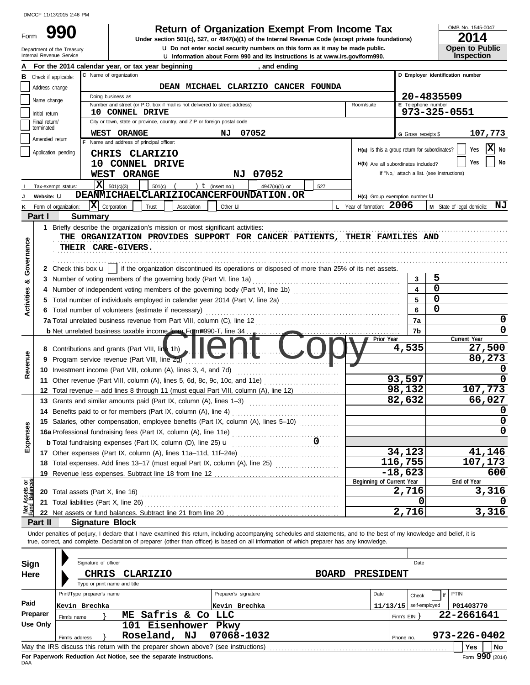Form

Department of the Treasury<br>Internal Revenue Service

# **990 Return of Organization Exempt From Income Tax**  $\frac{\text{OMB No. 1545-00}}{2014}$

u Information about Form 990 and its instructions is at www.irs.gov/form990. **u** Do not enter social security numbers on this form as it may be made public. **Under section 501(c), 527, or 4947(a)(1) of the Internal Revenue Code (except private foundations)** OMB No. 1545-0047

| ---                   |  |
|-----------------------|--|
| <b>Open to Public</b> |  |
|                       |  |
| <b>Inspection</b>     |  |

|                                |                                                                                                                                   |                             | For the 2014 calendar year, or tax year beginning                                                                  |                 |                                                                            |                    |                      | , and ending                                                                                                                                                               |              |                                               |                                            |            |                                  |                    |
|--------------------------------|-----------------------------------------------------------------------------------------------------------------------------------|-----------------------------|--------------------------------------------------------------------------------------------------------------------|-----------------|----------------------------------------------------------------------------|--------------------|----------------------|----------------------------------------------------------------------------------------------------------------------------------------------------------------------------|--------------|-----------------------------------------------|--------------------------------------------|------------|----------------------------------|--------------------|
| в                              |                                                                                                                                   | Check if applicable:        | C Name of organization                                                                                             |                 |                                                                            |                    |                      |                                                                                                                                                                            |              |                                               |                                            |            | D Employer identification number |                    |
|                                | Address change                                                                                                                    |                             |                                                                                                                    |                 |                                                                            |                    |                      | DEAN MICHAEL CLARIZIO CANCER FOUNDA                                                                                                                                        |              |                                               |                                            |            |                                  |                    |
|                                |                                                                                                                                   |                             | Doing business as                                                                                                  |                 |                                                                            |                    |                      |                                                                                                                                                                            |              |                                               |                                            | 20-4835509 |                                  |                    |
|                                | Name change                                                                                                                       |                             |                                                                                                                    |                 | Number and street (or P.O. box if mail is not delivered to street address) |                    |                      |                                                                                                                                                                            |              | Room/suite                                    | E Telephone number                         |            |                                  |                    |
|                                | Initial return                                                                                                                    |                             | 973-325-0551<br><b>10 CONNEL DRIVE</b><br>City or town, state or province, country, and ZIP or foreign postal code |                 |                                                                            |                    |                      |                                                                                                                                                                            |              |                                               |                                            |            |                                  |                    |
|                                |                                                                                                                                   | Final return/<br>terminated |                                                                                                                    |                 |                                                                            |                    |                      |                                                                                                                                                                            |              |                                               |                                            |            |                                  |                    |
|                                | <b>WEST ORANGE</b><br>07052<br>107,773<br>ΝJ<br>G Gross receipts \$<br>Amended return<br>F Name and address of principal officer: |                             |                                                                                                                    |                 |                                                                            |                    |                      |                                                                                                                                                                            |              |                                               |                                            |            |                                  |                    |
|                                |                                                                                                                                   |                             |                                                                                                                    |                 |                                                                            |                    |                      |                                                                                                                                                                            |              | H(a) Is this a group return for subordinates? |                                            |            | Yes                              | $\mathbf{x}$<br>No |
|                                |                                                                                                                                   | Application pending         | CHRIS CLARIZIO                                                                                                     |                 |                                                                            |                    |                      |                                                                                                                                                                            |              |                                               |                                            |            |                                  |                    |
|                                |                                                                                                                                   |                             | 10 CONNEL DRIVE                                                                                                    |                 |                                                                            |                    |                      |                                                                                                                                                                            |              | H(b) Are all subordinates included?           |                                            |            | Yes                              | No                 |
|                                |                                                                                                                                   |                             | <b>WEST ORANGE</b>                                                                                                 |                 |                                                                            |                    | ΝJ                   | 07052                                                                                                                                                                      |              |                                               | If "No," attach a list. (see instructions) |            |                                  |                    |
|                                |                                                                                                                                   | Tax-exempt status:          | x<br>501(c)(3)                                                                                                     |                 | 501(c)                                                                     | ) $t$ (insert no.) |                      | 4947(a)(1) or                                                                                                                                                              | 527          |                                               |                                            |            |                                  |                    |
|                                | Website: U                                                                                                                        |                             |                                                                                                                    |                 |                                                                            |                    |                      | DEANMICHAELCLARIZIOCANCERFOUNDATION.OR                                                                                                                                     |              | H(c) Group exemption number U                 |                                            |            |                                  |                    |
| ĸ                              |                                                                                                                                   | Form of organization:       | $ \mathbf{X} $ Corporation                                                                                         |                 | Trust<br>Association                                                       |                    | Other <b>u</b>       |                                                                                                                                                                            |              | L Year of formation: 2006                     |                                            |            | M State of legal domicile:       | ΝJ                 |
|                                | Part I                                                                                                                            |                             | <b>Summary</b>                                                                                                     |                 |                                                                            |                    |                      |                                                                                                                                                                            |              |                                               |                                            |            |                                  |                    |
|                                |                                                                                                                                   |                             | 1 Briefly describe the organization's mission or most significant activities:                                      |                 |                                                                            |                    |                      |                                                                                                                                                                            |              |                                               |                                            |            |                                  |                    |
|                                |                                                                                                                                   |                             |                                                                                                                    |                 |                                                                            |                    |                      | THE ORGANIZATION PROVIDES SUPPORT FOR CANCER PATIENTS, THEIR FAMILIES AND                                                                                                  |              |                                               |                                            |            |                                  |                    |
|                                |                                                                                                                                   |                             | THEIR CARE-GIVERS.                                                                                                 |                 |                                                                            |                    |                      |                                                                                                                                                                            |              |                                               |                                            |            |                                  |                    |
| Governance                     |                                                                                                                                   |                             |                                                                                                                    |                 |                                                                            |                    |                      |                                                                                                                                                                            |              |                                               |                                            |            |                                  |                    |
|                                |                                                                                                                                   |                             |                                                                                                                    |                 |                                                                            |                    |                      | 2 Check this box $\mathbf{u}$   if the organization discontinued its operations or disposed of more than 25% of its net assets.                                            |              |                                               |                                            |            |                                  |                    |
| ೲ                              |                                                                                                                                   |                             | 3 Number of voting members of the governing body (Part VI, line 1a)                                                |                 |                                                                            |                    |                      |                                                                                                                                                                            |              |                                               | 3                                          | 5          |                                  |                    |
|                                |                                                                                                                                   |                             |                                                                                                                    |                 |                                                                            |                    |                      |                                                                                                                                                                            |              |                                               | 4                                          | 0          |                                  |                    |
| Activities                     | 5.                                                                                                                                |                             |                                                                                                                    |                 |                                                                            |                    |                      | Total number of individuals employed in calendar year 2014 (Part V, line 2a) [[[[[[[[[[[[[[[[[[[[[[[[[[[[[[[[                                                              |              |                                               | 5                                          | 0          |                                  |                    |
|                                |                                                                                                                                   |                             | 6 Total number of volunteers (estimate if necessary)                                                               |                 |                                                                            |                    |                      |                                                                                                                                                                            |              |                                               | 6                                          | 0          |                                  |                    |
|                                |                                                                                                                                   |                             | 7a Total unrelated business revenue from Part VIII, column (C), line 12                                            |                 |                                                                            |                    |                      |                                                                                                                                                                            |              |                                               | 7a                                         |            |                                  | O                  |
|                                |                                                                                                                                   |                             | <b>b</b> Net unrelated business taxable income from Form 990-T, line 34                                            |                 |                                                                            |                    |                      |                                                                                                                                                                            |              |                                               | 7b                                         |            |                                  |                    |
|                                |                                                                                                                                   |                             |                                                                                                                    |                 |                                                                            |                    |                      |                                                                                                                                                                            |              | Prior Year                                    |                                            |            | Current Year                     |                    |
|                                | 8                                                                                                                                 |                             | Contributions and grants (Part VIII, line 1h)                                                                      |                 |                                                                            |                    |                      |                                                                                                                                                                            |              |                                               | 4,535                                      |            |                                  | 27,500             |
|                                | 9                                                                                                                                 |                             | Program service revenue (Part VIII, line 2g)                                                                       |                 |                                                                            |                    |                      |                                                                                                                                                                            |              |                                               |                                            |            |                                  | 80,273             |
| Revenue                        |                                                                                                                                   |                             | 10 Investment income (Part VIII, column (A), lines 3, 4, and 7d)                                                   |                 |                                                                            |                    |                      |                                                                                                                                                                            |              |                                               |                                            |            |                                  | O                  |
|                                |                                                                                                                                   |                             | 11 Other revenue (Part VIII, column (A), lines 5, 6d, 8c, 9c, 10c, and 11e)                                        |                 |                                                                            |                    |                      |                                                                                                                                                                            | .            |                                               | 93,597                                     |            |                                  | O                  |
|                                |                                                                                                                                   |                             |                                                                                                                    |                 |                                                                            |                    |                      | 12 Total revenue – add lines 8 through 11 (must equal Part VIII, column (A), line 12)                                                                                      |              |                                               | 98,132                                     |            |                                  | 107,773            |
|                                |                                                                                                                                   |                             | 13 Grants and similar amounts paid (Part IX, column (A), lines 1–3)                                                |                 |                                                                            |                    |                      |                                                                                                                                                                            |              |                                               | 82,632                                     |            |                                  | 66,027             |
|                                |                                                                                                                                   |                             | 14 Benefits paid to or for members (Part IX, column (A), line 4)                                                   |                 |                                                                            |                    |                      |                                                                                                                                                                            |              |                                               |                                            |            |                                  | 0                  |
|                                | 15                                                                                                                                |                             |                                                                                                                    |                 |                                                                            |                    |                      | Salaries, other compensation, employee benefits (Part IX, column (A), lines 5-10)                                                                                          |              |                                               |                                            |            |                                  | 0                  |
| chenses                        |                                                                                                                                   |                             | 16a Professional fundraising fees (Part IX, column (A), line 11e)                                                  |                 |                                                                            |                    |                      |                                                                                                                                                                            |              |                                               |                                            |            |                                  | 0                  |
|                                |                                                                                                                                   |                             | <b>b</b> Total fundraising expenses (Part IX, column (D), line 25) $\mathbf{u}$                                    |                 |                                                                            |                    |                      |                                                                                                                                                                            | 0            |                                               |                                            |            |                                  |                    |
| шì                             |                                                                                                                                   |                             | 17 Other expenses (Part IX, column (A), lines 11a-11d, 11f-24e)                                                    |                 |                                                                            |                    |                      |                                                                                                                                                                            |              |                                               | 34,123                                     |            |                                  | 41,146             |
|                                |                                                                                                                                   |                             |                                                                                                                    |                 |                                                                            |                    |                      | 18 Total expenses. Add lines 13-17 (must equal Part IX, column (A), line 25) [[[[[[[[[[[[[[[[[[[[[[[[[[[[[[[[                                                              |              |                                               | 116,755                                    |            |                                  | 107,173            |
|                                |                                                                                                                                   |                             | 19 Revenue less expenses. Subtract line 18 from line 12                                                            |                 |                                                                            |                    |                      |                                                                                                                                                                            |              |                                               | $-18,623$                                  |            |                                  | 600                |
| Net Assets or<br>Fund Balances |                                                                                                                                   |                             |                                                                                                                    |                 |                                                                            |                    |                      |                                                                                                                                                                            |              | Beginning of Current Year                     |                                            |            | End of Year                      |                    |
|                                |                                                                                                                                   |                             | 20 Total assets (Part X, line 16)                                                                                  |                 |                                                                            |                    |                      |                                                                                                                                                                            |              |                                               | 2,716                                      |            |                                  | 3,316              |
|                                |                                                                                                                                   |                             | 21 Total liabilities (Part X, line 26)                                                                             |                 |                                                                            |                    |                      |                                                                                                                                                                            |              |                                               | O                                          |            |                                  |                    |
|                                |                                                                                                                                   |                             |                                                                                                                    |                 |                                                                            |                    |                      |                                                                                                                                                                            |              |                                               | 2,716                                      |            |                                  | 3,316              |
|                                | Part II                                                                                                                           |                             | <b>Signature Block</b>                                                                                             |                 |                                                                            |                    |                      |                                                                                                                                                                            |              |                                               |                                            |            |                                  |                    |
|                                |                                                                                                                                   |                             |                                                                                                                    |                 |                                                                            |                    |                      | Under penalties of perjury, I declare that I have examined this return, including accompanying schedules and statements, and to the best of my knowledge and belief, it is |              |                                               |                                            |            |                                  |                    |
|                                |                                                                                                                                   |                             |                                                                                                                    |                 |                                                                            |                    |                      | true, correct, and complete. Declaration of preparer (other than officer) is based on all information of which preparer has any knowledge.                                 |              |                                               |                                            |            |                                  |                    |
|                                |                                                                                                                                   |                             |                                                                                                                    |                 |                                                                            |                    |                      |                                                                                                                                                                            |              |                                               |                                            |            |                                  |                    |
| Sign                           |                                                                                                                                   |                             | Signature of officer                                                                                               |                 |                                                                            |                    |                      |                                                                                                                                                                            |              |                                               | Date                                       |            |                                  |                    |
| Here                           |                                                                                                                                   |                             | <b>CHRIS</b>                                                                                                       | <b>CLARIZIO</b> |                                                                            |                    |                      |                                                                                                                                                                            | <b>BOARD</b> | <b>PRESIDENT</b>                              |                                            |            |                                  |                    |
|                                |                                                                                                                                   |                             | Type or print name and title                                                                                       |                 |                                                                            |                    |                      |                                                                                                                                                                            |              |                                               |                                            |            |                                  |                    |
|                                |                                                                                                                                   |                             | Print/Type preparer's name                                                                                         |                 |                                                                            |                    | Preparer's signature |                                                                                                                                                                            |              | Date                                          | Check                                      | if         | PTIN                             |                    |
| Paid                           |                                                                                                                                   |                             | Kevin Brechka                                                                                                      |                 |                                                                            |                    | Kevin Brechka        |                                                                                                                                                                            |              | 11/13/15                                      | self-employed                              |            | P01403770                        |                    |
|                                | Preparer                                                                                                                          | Firm's name                 |                                                                                                                    |                 | ME Safris & Co LLC                                                         |                    |                      |                                                                                                                                                                            |              |                                               | Firm's $EIN$ }                             |            | 22-2661641                       |                    |
|                                | Use Only                                                                                                                          |                             |                                                                                                                    |                 | 101 Eisenhower Pkwy                                                        |                    |                      |                                                                                                                                                                            |              |                                               |                                            |            |                                  |                    |
|                                |                                                                                                                                   | Firm's address              |                                                                                                                    |                 | Roseland,<br>NJ                                                            |                    | 07068-1032           |                                                                                                                                                                            |              |                                               | Phone no.                                  |            | 973-226-0402                     |                    |
|                                |                                                                                                                                   |                             | May the IRS discuss this return with the preparer shown above? (see instructions)                                  |                 |                                                                            |                    |                      |                                                                                                                                                                            |              |                                               |                                            |            | Yes                              | No                 |

| Sign     | Signature of officer       |                                       |                                                                                   |    |                      |              |                  |           | Date                     |                    |
|----------|----------------------------|---------------------------------------|-----------------------------------------------------------------------------------|----|----------------------|--------------|------------------|-----------|--------------------------|--------------------|
| Here     |                            | CHRIS<br>Type or print name and title | CLARIZIO                                                                          |    |                      | <b>BOARD</b> | <b>PRESIDENT</b> |           |                          |                    |
|          | Print/Type preparer's name |                                       |                                                                                   |    | Preparer's signature |              | Date             |           | Check                    | PTIN               |
| Paid     | Kevin Brechka              |                                       |                                                                                   |    | Kevin Brechka        |              |                  |           | $11/13/15$ self-employed | P01403770          |
| Preparer | Firm's name                |                                       | ME Safris & Co                                                                    |    | LLC                  |              |                  |           | Firm's $EIN$             | 22-2661641         |
| Use Only |                            |                                       | <b>Eisenhower</b><br>101                                                          |    | Pkwy                 |              |                  |           |                          |                    |
|          | Firm's address             |                                       | Roseland,                                                                         | ΝJ | 07068-1032           |              |                  | Phone no. |                          | $973 - 226 - 0402$ |
|          |                            |                                       | May the IRS discuss this return with the preparer shown above? (see instructions) |    |                      |              |                  |           |                          | l No<br><b>Yes</b> |
|          |                            |                                       | For Paperwork Reduction Act Notice, see the separate instructions.                |    |                      |              |                  |           |                          | Eqrm $990(2014)$   |

DAA **For Paperwork Reduction Act Notice, see the separate instructions.**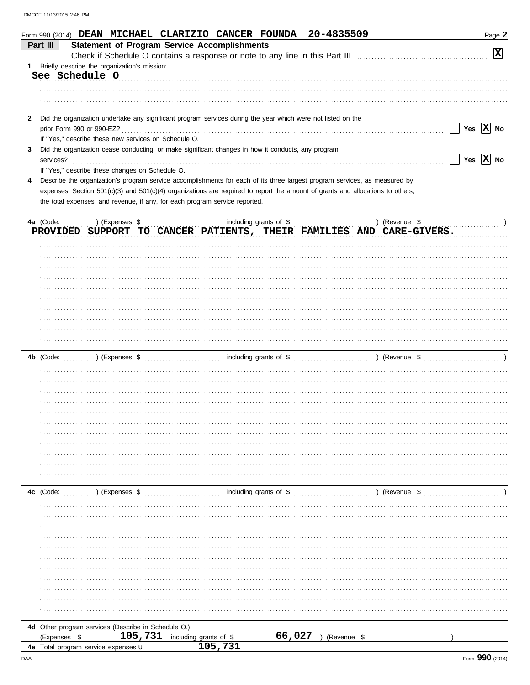|                |                                                                             | Form 990 (2014) DEAN MICHAEL CLARIZIO CANCER FOUNDA 20-4835509                                                                 |                                    | Page 2                      |
|----------------|-----------------------------------------------------------------------------|--------------------------------------------------------------------------------------------------------------------------------|------------------------------------|-----------------------------|
| Part III       | <b>Statement of Program Service Accomplishments</b>                         |                                                                                                                                |                                    | $\overline{\mathbf{x}}$     |
| 1.             | Briefly describe the organization's mission:                                |                                                                                                                                |                                    |                             |
| See Schedule O |                                                                             |                                                                                                                                |                                    |                             |
|                |                                                                             |                                                                                                                                |                                    |                             |
|                |                                                                             |                                                                                                                                |                                    |                             |
|                |                                                                             |                                                                                                                                |                                    |                             |
| 2              |                                                                             | Did the organization undertake any significant program services during the year which were not listed on the                   |                                    |                             |
|                | If "Yes," describe these new services on Schedule O.                        |                                                                                                                                |                                    | Yes $\overline{X}$ No       |
| 3              |                                                                             | Did the organization cease conducting, or make significant changes in how it conducts, any program                             |                                    |                             |
| services?      |                                                                             |                                                                                                                                |                                    | Yes $\boxed{\mathbf{X}}$ No |
|                | If "Yes," describe these changes on Schedule O.                             |                                                                                                                                |                                    |                             |
| 4              |                                                                             | Describe the organization's program service accomplishments for each of its three largest program services, as measured by     |                                    |                             |
|                |                                                                             | expenses. Section 501(c)(3) and 501(c)(4) organizations are required to report the amount of grants and allocations to others, |                                    |                             |
|                | the total expenses, and revenue, if any, for each program service reported. |                                                                                                                                |                                    |                             |
|                |                                                                             |                                                                                                                                |                                    |                             |
|                | 4a (Code:  ) (Expenses \$                                                   | including grants of \$<br>PROVIDED SUPPORT TO CANCER PATIENTS, THEIR FAMILIES AND CARE-GIVERS.                                 |                                    |                             |
|                |                                                                             |                                                                                                                                |                                    |                             |
|                |                                                                             |                                                                                                                                |                                    |                             |
|                |                                                                             |                                                                                                                                |                                    |                             |
|                |                                                                             |                                                                                                                                |                                    |                             |
|                |                                                                             |                                                                                                                                |                                    |                             |
|                |                                                                             |                                                                                                                                |                                    |                             |
|                |                                                                             |                                                                                                                                |                                    |                             |
|                |                                                                             |                                                                                                                                |                                    |                             |
|                |                                                                             |                                                                                                                                |                                    |                             |
|                |                                                                             |                                                                                                                                |                                    |                             |
|                |                                                                             |                                                                                                                                |                                    |                             |
|                |                                                                             |                                                                                                                                |                                    |                             |
|                |                                                                             |                                                                                                                                |                                    |                             |
|                |                                                                             |                                                                                                                                |                                    |                             |
|                |                                                                             |                                                                                                                                |                                    |                             |
|                |                                                                             |                                                                                                                                |                                    |                             |
|                |                                                                             |                                                                                                                                |                                    |                             |
|                |                                                                             |                                                                                                                                |                                    |                             |
|                |                                                                             |                                                                                                                                |                                    |                             |
|                |                                                                             |                                                                                                                                |                                    |                             |
|                |                                                                             |                                                                                                                                |                                    |                             |
|                |                                                                             |                                                                                                                                |                                    |                             |
| 4c (Code:      | ) (Expenses \$                                                              | $\ldots$ including grants of $\sqrt[6]{\ }$                                                                                    |                                    | ) (Revenue \$               |
|                |                                                                             |                                                                                                                                |                                    |                             |
|                |                                                                             |                                                                                                                                |                                    |                             |
|                |                                                                             |                                                                                                                                |                                    |                             |
|                |                                                                             |                                                                                                                                |                                    |                             |
|                |                                                                             |                                                                                                                                |                                    |                             |
|                |                                                                             |                                                                                                                                |                                    |                             |
|                |                                                                             |                                                                                                                                |                                    |                             |
|                |                                                                             |                                                                                                                                |                                    |                             |
|                |                                                                             |                                                                                                                                |                                    |                             |
|                |                                                                             |                                                                                                                                |                                    |                             |
|                | 4d Other program services (Describe in Schedule O.)                         |                                                                                                                                |                                    |                             |
| (Expenses \$   | 105,731                                                                     | including grants of \$                                                                                                         | 66,027<br>(Revenue \$<br>$\lambda$ |                             |
|                | 4e Total program service expenses u                                         |                                                                                                                                |                                    |                             |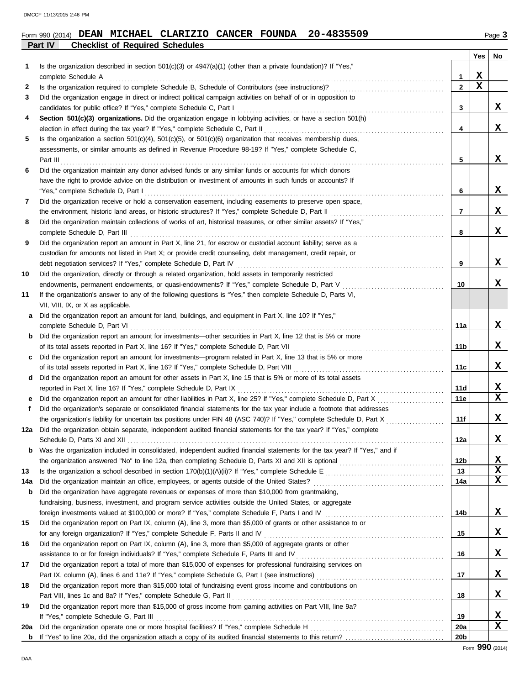### **Part IV Checklist of Required Schedules** Form 990 (2014) Page **3 DEAN MICHAEL CLARIZIO CANCER FOUNDA 20-4835509**

|     |                                                                                                                                                                                                                                |                 | Yes         | No          |
|-----|--------------------------------------------------------------------------------------------------------------------------------------------------------------------------------------------------------------------------------|-----------------|-------------|-------------|
| 1   | Is the organization described in section 501(c)(3) or 4947(a)(1) (other than a private foundation)? If "Yes,"                                                                                                                  |                 |             |             |
|     | complete Schedule A                                                                                                                                                                                                            | 1               | X           |             |
| 2   | Is the organization required to complete Schedule B, Schedule of Contributors (see instructions)?<br><u> 1986 - Johann Stoff, martin film ar yn y bennaf y brenning yn y brenning y brenning yn y brenning y brenning y</u>    | $\mathbf{2}$    | $\mathbf x$ |             |
| 3   | Did the organization engage in direct or indirect political campaign activities on behalf of or in opposition to                                                                                                               |                 |             |             |
|     | candidates for public office? If "Yes," complete Schedule C, Part I                                                                                                                                                            | 3               |             | x           |
| 4   | Section 501(c)(3) organizations. Did the organization engage in lobbying activities, or have a section 501(h)                                                                                                                  |                 |             |             |
|     | election in effect during the tax year? If "Yes," complete Schedule C, Part II                                                                                                                                                 | 4               |             | X           |
| 5   | Is the organization a section $501(c)(4)$ , $501(c)(5)$ , or $501(c)(6)$ organization that receives membership dues,                                                                                                           |                 |             |             |
|     | assessments, or similar amounts as defined in Revenue Procedure 98-19? If "Yes," complete Schedule C,                                                                                                                          |                 |             |             |
|     | Part III                                                                                                                                                                                                                       | 5               |             | x           |
| 6   | Did the organization maintain any donor advised funds or any similar funds or accounts for which donors                                                                                                                        |                 |             |             |
|     | have the right to provide advice on the distribution or investment of amounts in such funds or accounts? If                                                                                                                    |                 |             |             |
|     | "Yes," complete Schedule D, Part I                                                                                                                                                                                             | 6               |             | X           |
| 7   | Did the organization receive or hold a conservation easement, including easements to preserve open space,                                                                                                                      |                 |             |             |
|     | the environment, historic land areas, or historic structures? If "Yes," complete Schedule D, Part II                                                                                                                           | 7               |             | x           |
| 8   | Did the organization maintain collections of works of art, historical treasures, or other similar assets? If "Yes,"                                                                                                            |                 |             |             |
|     | complete Schedule D, Part III                                                                                                                                                                                                  | 8               |             | x           |
| 9   | Did the organization report an amount in Part X, line 21, for escrow or custodial account liability; serve as a                                                                                                                |                 |             |             |
|     | custodian for amounts not listed in Part X; or provide credit counseling, debt management, credit repair, or                                                                                                                   |                 |             |             |
|     | debt negotiation services? If "Yes," complete Schedule D, Part IV                                                                                                                                                              | 9               |             | x           |
| 10  | Did the organization, directly or through a related organization, hold assets in temporarily restricted                                                                                                                        |                 |             |             |
|     | endowments, permanent endowments, or quasi-endowments? If "Yes," complete Schedule D, Part V                                                                                                                                   | 10              |             | x           |
| 11  | If the organization's answer to any of the following questions is "Yes," then complete Schedule D, Parts VI,                                                                                                                   |                 |             |             |
|     | VII, VIII, IX, or X as applicable.                                                                                                                                                                                             |                 |             |             |
| a   | Did the organization report an amount for land, buildings, and equipment in Part X, line 10? If "Yes,"                                                                                                                         |                 |             |             |
|     | complete Schedule D, Part VI                                                                                                                                                                                                   | 11a             |             | X           |
| b   | Did the organization report an amount for investments—other securities in Part X, line 12 that is 5% or more                                                                                                                   |                 |             |             |
|     | of its total assets reported in Part X, line 16? If "Yes," complete Schedule D, Part VII                                                                                                                                       | 11b             |             | x           |
| C   | Did the organization report an amount for investments—program related in Part X, line 13 that is 5% or more                                                                                                                    |                 |             |             |
|     | of its total assets reported in Part X, line 16? If "Yes," complete Schedule D, Part VIII                                                                                                                                      | 11c             |             | X           |
|     | d Did the organization report an amount for other assets in Part X, line 15 that is 5% or more of its total assets                                                                                                             |                 |             |             |
|     | reported in Part X, line 16? If "Yes," complete Schedule D, Part IX                                                                                                                                                            | 11d             |             | X           |
| е   | Did the organization report an amount for other liabilities in Part X, line 25? If "Yes," complete Schedule D, Part X                                                                                                          | 11e             |             | $\mathbf x$ |
| f.  | Did the organization's separate or consolidated financial statements for the tax year include a footnote that addresses                                                                                                        |                 |             |             |
|     | the organization's liability for uncertain tax positions under FIN 48 (ASC 740)? If "Yes," complete Schedule D, Part X                                                                                                         | 11f             |             | X           |
|     | 12a Did the organization obtain separate, independent audited financial statements for the tax year? If "Yes," complete                                                                                                        |                 |             |             |
|     |                                                                                                                                                                                                                                | 12a             |             | X           |
| b   | Was the organization included in consolidated, independent audited financial statements for the tax year? If "Yes," and if                                                                                                     |                 |             |             |
|     |                                                                                                                                                                                                                                | 12b             |             | X           |
| 13  | Is the organization a school described in section 170(b)(1)(A)(ii)? If "Yes," complete Schedule E consumparament consumparament of the organization a school described in section 170(b)(1)(A)(ii)? If "Yes," complete Schedul | 13              |             | $\mathbf x$ |
| 14a | Did the organization maintain an office, employees, or agents outside of the United States?                                                                                                                                    | 14a             |             | $\mathbf x$ |
| b   | Did the organization have aggregate revenues or expenses of more than \$10,000 from grantmaking,                                                                                                                               |                 |             |             |
|     | fundraising, business, investment, and program service activities outside the United States, or aggregate                                                                                                                      |                 |             |             |
|     | foreign investments valued at \$100,000 or more? If "Yes," complete Schedule F, Parts I and IV [[[[[[[[[[[[[[[[                                                                                                                | 14b             |             | X           |
| 15  | Did the organization report on Part IX, column (A), line 3, more than \$5,000 of grants or other assistance to or                                                                                                              |                 |             |             |
|     | for any foreign organization? If "Yes," complete Schedule F, Parts II and IV                                                                                                                                                   | 15              |             | X           |
| 16  | Did the organization report on Part IX, column (A), line 3, more than \$5,000 of aggregate grants or other                                                                                                                     |                 |             |             |
|     | assistance to or for foreign individuals? If "Yes," complete Schedule F, Parts III and IV                                                                                                                                      | 16              |             | X           |
| 17  | Did the organization report a total of more than \$15,000 of expenses for professional fundraising services on                                                                                                                 |                 |             |             |
|     |                                                                                                                                                                                                                                | 17              |             | X           |
| 18  | Did the organization report more than \$15,000 total of fundraising event gross income and contributions on                                                                                                                    |                 |             |             |
|     | Part VIII, lines 1c and 8a? If "Yes," complete Schedule G, Part II                                                                                                                                                             | 18              |             | X           |
| 19  | Did the organization report more than \$15,000 of gross income from gaming activities on Part VIII, line 9a?                                                                                                                   |                 |             |             |
|     | If "Yes," complete Schedule G, Part III                                                                                                                                                                                        | 19              |             | X           |
|     | 20a Did the organization operate one or more hospital facilities? If "Yes," complete Schedule H                                                                                                                                | <b>20a</b>      |             | $\mathbf x$ |
|     |                                                                                                                                                                                                                                | 20 <sub>b</sub> |             |             |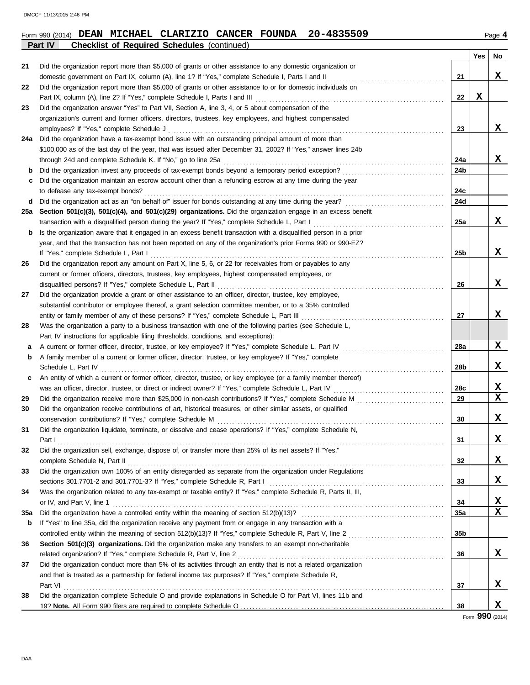|     | 20-4835509<br>Form 990 (2014) DEAN MICHAEL CLARIZIO CANCER FOUNDA                                                |                 |     | Page 4      |
|-----|------------------------------------------------------------------------------------------------------------------|-----------------|-----|-------------|
|     | Part IV<br><b>Checklist of Required Schedules (continued)</b>                                                    |                 |     |             |
|     |                                                                                                                  |                 | Yes | No          |
| 21  | Did the organization report more than \$5,000 of grants or other assistance to any domestic organization or      |                 |     |             |
|     | domestic government on Part IX, column (A), line 1? If "Yes," complete Schedule I, Parts I and II                | 21              |     | X           |
| 22  | Did the organization report more than \$5,000 of grants or other assistance to or for domestic individuals on    |                 |     |             |
|     | Part IX, column (A), line 2? If "Yes," complete Schedule I, Parts I and III                                      | 22              | X   |             |
| 23  | Did the organization answer "Yes" to Part VII, Section A, line 3, 4, or 5 about compensation of the              |                 |     |             |
|     | organization's current and former officers, directors, trustees, key employees, and highest compensated          |                 |     |             |
|     | employees? If "Yes," complete Schedule J                                                                         | 23              |     | X           |
| 24a | Did the organization have a tax-exempt bond issue with an outstanding principal amount of more than              |                 |     |             |
|     | \$100,000 as of the last day of the year, that was issued after December 31, 2002? If "Yes," answer lines 24b    |                 |     |             |
|     | through 24d and complete Schedule K. If "No," go to line 25a                                                     | 24a             |     | X           |
| b   | Did the organization invest any proceeds of tax-exempt bonds beyond a temporary period exception?                | 24b             |     |             |
| с   | Did the organization maintain an escrow account other than a refunding escrow at any time during the year        |                 |     |             |
|     | to defease any tax-exempt bonds?                                                                                 | 24c             |     |             |
| d   |                                                                                                                  | 24d             |     |             |
| 25а | Section 501(c)(3), 501(c)(4), and 501(c)(29) organizations. Did the organization engage in an excess benefit     |                 |     |             |
|     | transaction with a disqualified person during the year? If "Yes," complete Schedule L, Part I                    | 25a             |     | x           |
| b   | Is the organization aware that it engaged in an excess benefit transaction with a disqualified person in a prior |                 |     |             |
|     | year, and that the transaction has not been reported on any of the organization's prior Forms 990 or 990-EZ?     |                 |     |             |
|     | If "Yes," complete Schedule L, Part I                                                                            | 25b             |     | X           |
| 26  | Did the organization report any amount on Part X, line 5, 6, or 22 for receivables from or payables to any       |                 |     |             |
|     | current or former officers, directors, trustees, key employees, highest compensated employees, or                |                 |     |             |
|     | disqualified persons? If "Yes," complete Schedule L, Part II                                                     | 26              |     | X           |
| 27  | Did the organization provide a grant or other assistance to an officer, director, trustee, key employee,         |                 |     |             |
|     | substantial contributor or employee thereof, a grant selection committee member, or to a 35% controlled          |                 |     |             |
|     | entity or family member of any of these persons? If "Yes," complete Schedule L, Part III                         | 27              |     | X           |
| 28  | Was the organization a party to a business transaction with one of the following parties (see Schedule L,        |                 |     |             |
|     | Part IV instructions for applicable filing thresholds, conditions, and exceptions):                              |                 |     |             |
| a   | A current or former officer, director, trustee, or key employee? If "Yes," complete Schedule L, Part IV          | 28a             |     | X           |
| b   | A family member of a current or former officer, director, trustee, or key employee? If "Yes," complete           |                 |     |             |
|     | Schedule L, Part IV                                                                                              | 28b             |     | X           |
| c   | An entity of which a current or former officer, director, trustee, or key employee (or a family member thereof)  |                 |     |             |
|     | was an officer, director, trustee, or direct or indirect owner? If "Yes," complete Schedule L, Part IV           | 28c             |     | x           |
| 29  | Did the organization receive more than \$25,000 in non-cash contributions? If "Yes," complete Schedule M         | 29              |     | $\mathbf X$ |
| 30  | Did the organization receive contributions of art, historical treasures, or other similar assets, or qualified   |                 |     |             |
|     | conservation contributions? If "Yes," complete Schedule M                                                        | 30              |     | х           |
| 31  | Did the organization liquidate, terminate, or dissolve and cease operations? If "Yes," complete Schedule N,      |                 |     |             |
|     | Part I                                                                                                           | 31              |     | X           |
| 32  | Did the organization sell, exchange, dispose of, or transfer more than 25% of its net assets? If "Yes,"          |                 |     |             |
|     | complete Schedule N, Part II                                                                                     | 32              |     | X           |
| 33  | Did the organization own 100% of an entity disregarded as separate from the organization under Regulations       |                 |     |             |
|     |                                                                                                                  | 33              |     | X           |
| 34  | Was the organization related to any tax-exempt or taxable entity? If "Yes," complete Schedule R, Parts II, III,  |                 |     |             |
|     | or IV, and Part V, line 1                                                                                        | 34              |     | X           |
| 35a |                                                                                                                  | 35a             |     | $\mathbf x$ |
| b   | If "Yes" to line 35a, did the organization receive any payment from or engage in any transaction with a          |                 |     |             |
|     |                                                                                                                  | 35 <sub>b</sub> |     |             |
| 36  | Section 501(c)(3) organizations. Did the organization make any transfers to an exempt non-charitable             |                 |     |             |
|     | related organization? If "Yes," complete Schedule R, Part V, line 2                                              | 36              |     | x           |
| 37  | Did the organization conduct more than 5% of its activities through an entity that is not a related organization |                 |     |             |
|     | and that is treated as a partnership for federal income tax purposes? If "Yes," complete Schedule R,             |                 |     |             |
|     | Part VI                                                                                                          | 37              |     | X           |
| 38  | Did the organization complete Schedule O and provide explanations in Schedule O for Part VI, lines 11b and       |                 |     |             |
|     |                                                                                                                  | 38              |     | X           |
|     |                                                                                                                  |                 |     |             |

Form **990** (2014)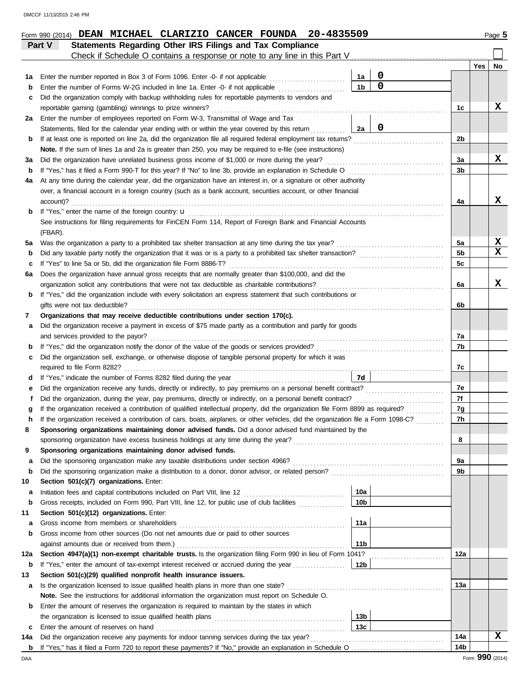|             | Statements Regarding Other IRS Filings and Tax Compliance<br>Part V<br>Check if Schedule O contains a response or note to any line in this Part V                                                                                   |                 |             |                 |                 |    |
|-------------|-------------------------------------------------------------------------------------------------------------------------------------------------------------------------------------------------------------------------------------|-----------------|-------------|-----------------|-----------------|----|
|             |                                                                                                                                                                                                                                     |                 |             |                 | Yes             | No |
| 1a          | Enter the number reported in Box 3 of Form 1096. Enter -0- if not applicable                                                                                                                                                        | 1a              | $\mathbf 0$ |                 |                 |    |
| b           | Enter the number of Forms W-2G included in line 1a. Enter -0- if not applicable                                                                                                                                                     | 1 <sub>b</sub>  | $\mathbf 0$ |                 |                 |    |
| c           | Did the organization comply with backup withholding rules for reportable payments to vendors and                                                                                                                                    |                 |             |                 |                 |    |
|             | reportable gaming (gambling) winnings to prize winners?                                                                                                                                                                             |                 |             | 1c              |                 | x  |
| 2a          | Enter the number of employees reported on Form W-3, Transmittal of Wage and Tax                                                                                                                                                     |                 |             |                 |                 |    |
|             | Statements, filed for the calendar year ending with or within the year covered by this return                                                                                                                                       | 2a              | $\mathbf 0$ |                 |                 |    |
| b           | If at least one is reported on line 2a, did the organization file all required federal employment tax returns?                                                                                                                      |                 |             | 2b              |                 |    |
|             | Note. If the sum of lines 1a and 2a is greater than 250, you may be required to e-file (see instructions)                                                                                                                           |                 |             |                 |                 |    |
| За          | Did the organization have unrelated business gross income of \$1,000 or more during the year?                                                                                                                                       |                 |             | За              |                 | x  |
| b           | If "Yes," has it filed a Form 990-T for this year? If "No" to line 3b, provide an explanation in Schedule O                                                                                                                         |                 |             | 3b              |                 |    |
| 4a          | At any time during the calendar year, did the organization have an interest in, or a signature or other authority<br>over, a financial account in a foreign country (such as a bank account, securities account, or other financial |                 |             |                 |                 |    |
|             | account)?                                                                                                                                                                                                                           |                 |             | 4a              |                 | x  |
| b           | If "Yes," enter the name of the foreign country: <b>u</b>                                                                                                                                                                           |                 |             |                 |                 |    |
|             | See instructions for filing requirements for FinCEN Form 114, Report of Foreign Bank and Financial Accounts                                                                                                                         |                 |             |                 |                 |    |
|             | (FBAR).                                                                                                                                                                                                                             |                 |             |                 |                 |    |
| 5a          | Was the organization a party to a prohibited tax shelter transaction at any time during the tax year?                                                                                                                               |                 |             | 5a              |                 | X  |
| b           |                                                                                                                                                                                                                                     |                 |             | 5 <sub>b</sub>  |                 | x  |
| c           | If "Yes" to line 5a or 5b, did the organization file Form 8886-T?                                                                                                                                                                   |                 |             | 5c              |                 |    |
| 6а          | Does the organization have annual gross receipts that are normally greater than \$100,000, and did the                                                                                                                              |                 |             |                 |                 |    |
|             | organization solicit any contributions that were not tax deductible as charitable contributions?                                                                                                                                    |                 |             | 6a              |                 | x  |
| b           | If "Yes," did the organization include with every solicitation an express statement that such contributions or                                                                                                                      |                 |             |                 |                 |    |
|             | gifts were not tax deductible?                                                                                                                                                                                                      |                 |             | 6b              |                 |    |
| 7           | Organizations that may receive deductible contributions under section 170(c).                                                                                                                                                       |                 |             |                 |                 |    |
| а           | Did the organization receive a payment in excess of \$75 made partly as a contribution and partly for goods                                                                                                                         |                 |             |                 |                 |    |
|             | and services provided to the payor?                                                                                                                                                                                                 |                 |             | 7a              |                 |    |
| b           |                                                                                                                                                                                                                                     |                 |             | 7b              |                 |    |
| c           | Did the organization sell, exchange, or otherwise dispose of tangible personal property for which it was                                                                                                                            |                 |             |                 |                 |    |
|             |                                                                                                                                                                                                                                     |                 |             | 7c              |                 |    |
| d           |                                                                                                                                                                                                                                     | 7d              |             |                 |                 |    |
| е           |                                                                                                                                                                                                                                     |                 |             | 7e<br>7f        |                 |    |
| f           | Did the organization, during the year, pay premiums, directly or indirectly, on a personal benefit contract?                                                                                                                        |                 |             | 7g              |                 |    |
| g<br>h      | If the organization received a contribution of cars, boats, airplanes, or other vehicles, did the organization file a Form 1098-C?                                                                                                  |                 |             | 7h              |                 |    |
|             | Sponsoring organizations maintaining donor advised funds. Did a donor advised fund maintained by the                                                                                                                                |                 |             |                 |                 |    |
|             |                                                                                                                                                                                                                                     |                 |             | 8               |                 |    |
| 9           | Sponsoring organizations maintaining donor advised funds.                                                                                                                                                                           |                 |             |                 |                 |    |
| a           |                                                                                                                                                                                                                                     |                 |             | 9a              |                 |    |
| b           |                                                                                                                                                                                                                                     |                 |             | 9b              |                 |    |
| 10          | Section 501(c)(7) organizations. Enter:                                                                                                                                                                                             |                 |             |                 |                 |    |
| а           |                                                                                                                                                                                                                                     | 10a             |             |                 |                 |    |
| $\mathbf b$ | Gross receipts, included on Form 990, Part VIII, line 12, for public use of club facilities                                                                                                                                         | 10 <sub>b</sub> |             |                 |                 |    |
| 11          | Section 501(c)(12) organizations. Enter:                                                                                                                                                                                            |                 |             |                 |                 |    |
| а           | Gross income from members or shareholders                                                                                                                                                                                           | 11a             |             |                 |                 |    |
| b           | Gross income from other sources (Do not net amounts due or paid to other sources                                                                                                                                                    |                 |             |                 |                 |    |
|             |                                                                                                                                                                                                                                     | 11 <sub>b</sub> |             |                 |                 |    |
| 12a         | Section 4947(a)(1) non-exempt charitable trusts. Is the organization filing Form 990 in lieu of Form 1041?                                                                                                                          |                 |             | 12a             |                 |    |
| b           |                                                                                                                                                                                                                                     |                 |             |                 |                 |    |
| 13          | Section 501(c)(29) qualified nonprofit health insurance issuers.                                                                                                                                                                    |                 |             |                 |                 |    |
| а           | Is the organization licensed to issue qualified health plans in more than one state?                                                                                                                                                |                 |             | 13a             |                 |    |
|             | Note. See the instructions for additional information the organization must report on Schedule O.                                                                                                                                   |                 |             |                 |                 |    |
| b           | Enter the amount of reserves the organization is required to maintain by the states in which                                                                                                                                        |                 |             |                 |                 |    |
|             |                                                                                                                                                                                                                                     | 13 <sub>b</sub> |             |                 |                 |    |
| c           | Enter the amount of reserves on hand<br>Did the organization receive any payments for indoor tanning services during the tax year?                                                                                                  | 13 <sub>c</sub> |             | 14a             |                 | x  |
| 14a<br>b    |                                                                                                                                                                                                                                     |                 |             | 14 <sub>b</sub> |                 |    |
| DAA         |                                                                                                                                                                                                                                     |                 |             |                 | Form 990 (2014) |    |
|             |                                                                                                                                                                                                                                     |                 |             |                 |                 |    |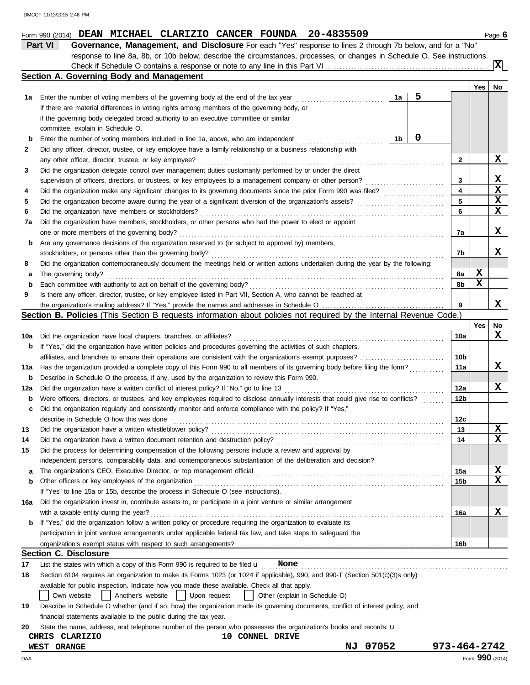|     | 20-4835509<br>Form 990 (2014) DEAN MICHAEL CLARIZIO CANCER FOUNDA                                                                   |    |                                        |                 |     | Page 6      |
|-----|-------------------------------------------------------------------------------------------------------------------------------------|----|----------------------------------------|-----------------|-----|-------------|
|     | Part VI<br>Governance, Management, and Disclosure For each "Yes" response to lines 2 through 7b below, and for a "No"               |    |                                        |                 |     |             |
|     | response to line 8a, 8b, or 10b below, describe the circumstances, processes, or changes in Schedule O. See instructions.           |    |                                        |                 |     |             |
|     |                                                                                                                                     |    |                                        |                 |     | X           |
|     | Section A. Governing Body and Management                                                                                            |    |                                        |                 |     |             |
|     |                                                                                                                                     |    |                                        |                 | Yes | No          |
| 1а  | Enter the number of voting members of the governing body at the end of the tax year                                                 | 1a | 5                                      |                 |     |             |
|     | If there are material differences in voting rights among members of the governing body, or                                          |    |                                        |                 |     |             |
|     | if the governing body delegated broad authority to an executive committee or similar                                                |    |                                        |                 |     |             |
|     | committee, explain in Schedule O.                                                                                                   |    |                                        |                 |     |             |
| b   | Enter the number of voting members included in line 1a, above, who are independent                                                  | 1b | 0                                      |                 |     |             |
| 2   | Did any officer, director, trustee, or key employee have a family relationship or a business relationship with                      |    |                                        |                 |     |             |
|     | any other officer, director, trustee, or key employee?                                                                              |    |                                        | 2               |     | X           |
| 3   | Did the organization delegate control over management duties customarily performed by or under the direct                           |    |                                        |                 |     |             |
|     | supervision of officers, directors, or trustees, or key employees to a management company or other person?                          |    | <u> 1999 - Johann Stoff, ameri</u> kan | 3               |     | X           |
| 4   | Did the organization make any significant changes to its governing documents since the prior Form 990 was filed?                    |    |                                        | 4               |     | $\mathbf x$ |
| 5   | Did the organization become aware during the year of a significant diversion of the organization's assets?                          |    |                                        | 5               |     | X           |
| 6   | Did the organization have members or stockholders?                                                                                  |    |                                        | 6               |     | X           |
| 7a  | Did the organization have members, stockholders, or other persons who had the power to elect or appoint                             |    |                                        |                 |     |             |
|     | one or more members of the governing body?                                                                                          |    |                                        | 7a              |     | X           |
| b   | Are any governance decisions of the organization reserved to (or subject to approval by) members,                                   |    |                                        |                 |     |             |
|     | stockholders, or persons other than the governing body?                                                                             |    |                                        | 7b              |     | x           |
|     | Did the organization contemporaneously document the meetings held or written actions undertaken during the year by the following:   |    |                                        |                 |     |             |
| 8   |                                                                                                                                     |    |                                        |                 | X   |             |
| а   | The governing body?                                                                                                                 |    |                                        | 8a              | X   |             |
| b   | Each committee with authority to act on behalf of the governing body?                                                               |    |                                        | 8b              |     |             |
| 9   | Is there any officer, director, trustee, or key employee listed in Part VII, Section A, who cannot be reached at                    |    |                                        |                 |     |             |
|     |                                                                                                                                     |    |                                        | 9               |     | x           |
|     | <b>Section B. Policies</b> (This Section B requests information about policies not required by the Internal Revenue Code.)          |    |                                        |                 |     |             |
|     |                                                                                                                                     |    |                                        |                 | Yes | No          |
| 10a | Did the organization have local chapters, branches, or affiliates?                                                                  |    |                                        | 10a             |     | X           |
| b   | If "Yes," did the organization have written policies and procedures governing the activities of such chapters,                      |    |                                        |                 |     |             |
|     |                                                                                                                                     |    |                                        | 10b             |     |             |
| 11a | Has the organization provided a complete copy of this Form 990 to all members of its governing body before filing the form?         |    |                                        | 11a             |     | x           |
| b   | Describe in Schedule O the process, if any, used by the organization to review this Form 990.                                       |    |                                        |                 |     |             |
| 12a | Did the organization have a written conflict of interest policy? If "No," go to line 13                                             |    |                                        | 12a             |     | x           |
| b   | Were officers, directors, or trustees, and key employees required to disclose annually interests that could give rise to conflicts? |    |                                        | 12b             |     |             |
| с   | Did the organization regularly and consistently monitor and enforce compliance with the policy? If "Yes,"                           |    |                                        |                 |     |             |
|     | describe in Schedule O how this was done                                                                                            |    |                                        | 12 <sub>c</sub> |     |             |
| 13  | Did the organization have a written whistleblower policy?                                                                           |    |                                        | 13              |     | X           |
| 14  | Did the organization have a written document retention and destruction policy?                                                      |    |                                        | 14              |     | x           |
| 15  | Did the process for determining compensation of the following persons include a review and approval by                              |    |                                        |                 |     |             |
|     | independent persons, comparability data, and contemporaneous substantiation of the deliberation and decision?                       |    |                                        |                 |     |             |
| a   | The organization's CEO, Executive Director, or top management official                                                              |    |                                        | 15a             |     | X           |
| b   | Other officers or key employees of the organization                                                                                 |    |                                        | 15b             |     | X           |
|     | If "Yes" to line 15a or 15b, describe the process in Schedule O (see instructions).                                                 |    |                                        |                 |     |             |
| 16a | Did the organization invest in, contribute assets to, or participate in a joint venture or similar arrangement                      |    |                                        |                 |     |             |
|     | with a taxable entity during the year?                                                                                              |    |                                        | 16a             |     | X           |
| b   | If "Yes," did the organization follow a written policy or procedure requiring the organization to evaluate its                      |    |                                        |                 |     |             |
|     | participation in joint venture arrangements under applicable federal tax law, and take steps to safeguard the                       |    |                                        |                 |     |             |
|     |                                                                                                                                     |    |                                        | 16b             |     |             |
|     | <b>Section C. Disclosure</b>                                                                                                        |    |                                        |                 |     |             |
| 17  | List the states with which a copy of this Form 990 is required to be filed $\mathbf u$<br>None                                      |    |                                        |                 |     |             |
| 18  | Section 6104 requires an organization to make its Forms 1023 (or 1024 if applicable), 990, and 990-T (Section 501(c)(3)s only)      |    |                                        |                 |     |             |
|     | available for public inspection. Indicate how you made these available. Check all that apply.                                       |    |                                        |                 |     |             |
|     | Another's website<br>Upon request                                                                                                   |    |                                        |                 |     |             |
|     | Own website<br>Other (explain in Schedule O)                                                                                        |    |                                        |                 |     |             |
| 19  | Describe in Schedule O whether (and if so, how) the organization made its governing documents, conflict of interest policy, and     |    |                                        |                 |     |             |
|     | financial statements available to the public during the tax year.                                                                   |    |                                        |                 |     |             |
| 20  | State the name, address, and telephone number of the person who possesses the organization's books and records: <b>u</b>            |    |                                        |                 |     |             |
|     | <b>CHRIS CLARIZIO</b><br>10 CONNEL DRIVE                                                                                            |    |                                        |                 |     |             |
|     | 07052<br>NJ<br><b>WEST ORANGE</b>                                                                                                   |    |                                        | 973-464-2742    |     |             |

DAA Form **990** (2014)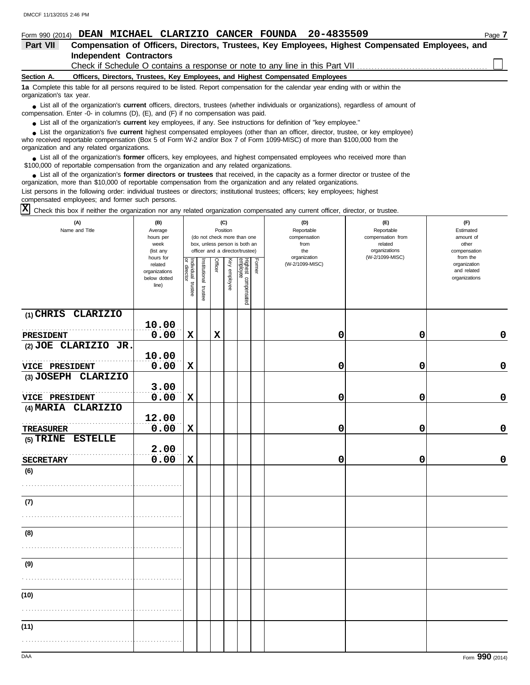#### **Section A. Independent Contractors Part VII Compensation of Officers, Directors, Trustees, Key Employees, Highest Compensated Employees, and** Form 990 (2014) **DEAN MICHAEL CLARIZIO CANCER FOUNDA 20-4835509 Deanel Page 7 Officers, Directors, Trustees, Key Employees, and Highest Compensated Employees 1a** Complete this table for all persons required to be listed. Report compensation for the calendar year ending with or within the organization's tax year. Check if Schedule O contains a response or note to any line in this Part VII

■ List all of the organization's **current** officers, directors, trustees (whether individuals or organizations), regardless of amount of compensation. Enter -0- in columns (D), (E), and (F) if no compensation was paid.

● List all of the organization's **current** key employees, if any. See instructions for definition of "key employee."

who received reportable compensation (Box 5 of Form W-2 and/or Box 7 of Form 1099-MISC) of more than \$100,000 from the organization and any related organizations. ■ List the organization's five **current** highest compensated employees (other than an officer, director, trustee, or key employee)<br> **•** Pregiund reportable compensation (Box 5 of Ferm W 2 and/or Box 7 of Ferm 1000 MISC) o

■ List all of the organization's **former** officers, key employees, and highest compensated employees who received more than<br> **•** 00.000 of reportable compensation from the examization and any related erganizations \$100,000 of reportable compensation from the organization and any related organizations.

■ List all of the organization's **former directors or trustees** that received, in the capacity as a former director or trustee of the practization more than \$10,000 of reportable compensation from the organization and any organization, more than \$10,000 of reportable compensation from the organization and any related organizations. List persons in the following order: individual trustees or directors; institutional trustees; officers; key employees; highest compensated employees; and former such persons.

Check this box if neither the organization nor any related organization compensated any current officer, director, or trustee. **X**

| (A)<br>Name and Title   | (B)<br>Average<br>hours per<br>week<br>(list any<br>hours for |                                   |                       |             | (C)<br>Position | (do not check more than one<br>box, unless person is both an<br>officer and a director/trustee) |        | (D)<br>Reportable<br>compensation<br>from<br>the<br>organization | (E)<br>Reportable<br>compensation from<br>related<br>organizations<br>(W-2/1099-MISC) | (F)<br>Estimated<br>amount of<br>other<br>compensation<br>from the |
|-------------------------|---------------------------------------------------------------|-----------------------------------|-----------------------|-------------|-----------------|-------------------------------------------------------------------------------------------------|--------|------------------------------------------------------------------|---------------------------------------------------------------------------------------|--------------------------------------------------------------------|
|                         | related<br>organizations<br>below dotted<br>line)             | Individual trustee<br>or director | Institutional trustee | Officer     | Key employee    | Highest compensated<br>employee                                                                 | Former | (W-2/1099-MISC)                                                  |                                                                                       | organization<br>and related<br>organizations                       |
| (1) CHRIS CLARIZIO      | 10.00                                                         |                                   |                       |             |                 |                                                                                                 |        |                                                                  |                                                                                       |                                                                    |
| PRESIDENT               | 0.00                                                          | $\mathbf x$                       |                       | $\mathbf x$ |                 |                                                                                                 |        | 0                                                                | 0                                                                                     | 0                                                                  |
| (2) JOE CLARIZIO JR.    | 10.00                                                         |                                   |                       |             |                 |                                                                                                 |        |                                                                  |                                                                                       |                                                                    |
| VICE PRESIDENT          | 0.00                                                          | $\mathbf x$                       |                       |             |                 |                                                                                                 |        | 0                                                                | 0                                                                                     | 0                                                                  |
| (3) JOSEPH CLARIZIO     | 3.00                                                          |                                   |                       |             |                 |                                                                                                 |        |                                                                  |                                                                                       |                                                                    |
| VICE PRESIDENT          | 0.00                                                          | $\mathbf x$                       |                       |             |                 |                                                                                                 |        | 0                                                                | 0                                                                                     | $\pmb{0}$                                                          |
| $(4)$ MARIA<br>CLARIZIO |                                                               |                                   |                       |             |                 |                                                                                                 |        |                                                                  |                                                                                       |                                                                    |
|                         | 12.00                                                         |                                   |                       |             |                 |                                                                                                 |        |                                                                  |                                                                                       |                                                                    |
| <b>TREASURER</b>        | 0.00                                                          | $\mathbf x$                       |                       |             |                 |                                                                                                 |        | 0                                                                | 0                                                                                     | $\mathbf 0$                                                        |
| (5) TRINE ESTELLE       | 2.00                                                          |                                   |                       |             |                 |                                                                                                 |        |                                                                  |                                                                                       |                                                                    |
| <b>SECRETARY</b>        | 0.00                                                          | $\mathbf x$                       |                       |             |                 |                                                                                                 |        | 0                                                                | 0                                                                                     | $\mathbf 0$                                                        |
| (6)                     |                                                               |                                   |                       |             |                 |                                                                                                 |        |                                                                  |                                                                                       |                                                                    |
|                         |                                                               |                                   |                       |             |                 |                                                                                                 |        |                                                                  |                                                                                       |                                                                    |
| (7)                     |                                                               |                                   |                       |             |                 |                                                                                                 |        |                                                                  |                                                                                       |                                                                    |
|                         |                                                               |                                   |                       |             |                 |                                                                                                 |        |                                                                  |                                                                                       |                                                                    |
| (8)                     |                                                               |                                   |                       |             |                 |                                                                                                 |        |                                                                  |                                                                                       |                                                                    |
| (9)                     |                                                               |                                   |                       |             |                 |                                                                                                 |        |                                                                  |                                                                                       |                                                                    |
|                         |                                                               |                                   |                       |             |                 |                                                                                                 |        |                                                                  |                                                                                       |                                                                    |
| (10)                    |                                                               |                                   |                       |             |                 |                                                                                                 |        |                                                                  |                                                                                       |                                                                    |
|                         |                                                               |                                   |                       |             |                 |                                                                                                 |        |                                                                  |                                                                                       |                                                                    |
| (11)                    |                                                               |                                   |                       |             |                 |                                                                                                 |        |                                                                  |                                                                                       |                                                                    |
|                         |                                                               |                                   |                       |             |                 |                                                                                                 |        |                                                                  |                                                                                       |                                                                    |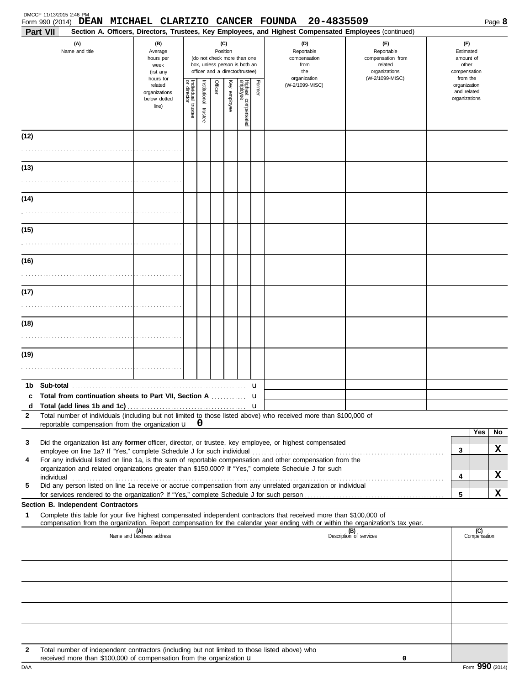| Part VII     |                                                                                                                                                                                                                                                                                                                                                                                                                                                                                                                                                                                                                                                                                                                                |                                                                |                       |                         |         |                 |                                                                                                 |        | Section A. Officers, Directors, Trustees, Key Employees, and Highest Compensated Employees (continued) |                                                                    |                                                          |                     |                   |
|--------------|--------------------------------------------------------------------------------------------------------------------------------------------------------------------------------------------------------------------------------------------------------------------------------------------------------------------------------------------------------------------------------------------------------------------------------------------------------------------------------------------------------------------------------------------------------------------------------------------------------------------------------------------------------------------------------------------------------------------------------|----------------------------------------------------------------|-----------------------|-------------------------|---------|-----------------|-------------------------------------------------------------------------------------------------|--------|--------------------------------------------------------------------------------------------------------|--------------------------------------------------------------------|----------------------------------------------------------|---------------------|-------------------|
|              | (A)<br>Name and title                                                                                                                                                                                                                                                                                                                                                                                                                                                                                                                                                                                                                                                                                                          | (B)<br>Average<br>hours per<br>week<br>(list any               |                       |                         |         | (C)<br>Position | (do not check more than one<br>box, unless person is both an<br>officer and a director/trustee) |        | (D)<br>Reportable<br>compensation<br>from<br>the                                                       | (E)<br>Reportable<br>compensation from<br>related<br>organizations | (F)<br>Estimated<br>amount of<br>other<br>compensation   |                     |                   |
|              |                                                                                                                                                                                                                                                                                                                                                                                                                                                                                                                                                                                                                                                                                                                                | hours for<br>related<br>organizations<br>below dotted<br>line) | Individual<br>trustee | hstitutional<br>trustee | Officer | Key employee    | Highest compensated<br>employee                                                                 | Former | organization<br>(W-2/1099-MISC)                                                                        | (W-2/1099-MISC)                                                    | from the<br>organization<br>and related<br>organizations |                     |                   |
| (12)         |                                                                                                                                                                                                                                                                                                                                                                                                                                                                                                                                                                                                                                                                                                                                |                                                                |                       |                         |         |                 |                                                                                                 |        |                                                                                                        |                                                                    |                                                          |                     |                   |
| (13)         |                                                                                                                                                                                                                                                                                                                                                                                                                                                                                                                                                                                                                                                                                                                                |                                                                |                       |                         |         |                 |                                                                                                 |        |                                                                                                        |                                                                    |                                                          |                     |                   |
| (14)         |                                                                                                                                                                                                                                                                                                                                                                                                                                                                                                                                                                                                                                                                                                                                |                                                                |                       |                         |         |                 |                                                                                                 |        |                                                                                                        |                                                                    |                                                          |                     |                   |
| (15)         |                                                                                                                                                                                                                                                                                                                                                                                                                                                                                                                                                                                                                                                                                                                                |                                                                |                       |                         |         |                 |                                                                                                 |        |                                                                                                        |                                                                    |                                                          |                     |                   |
| (16)         |                                                                                                                                                                                                                                                                                                                                                                                                                                                                                                                                                                                                                                                                                                                                |                                                                |                       |                         |         |                 |                                                                                                 |        |                                                                                                        |                                                                    |                                                          |                     |                   |
| (17)         |                                                                                                                                                                                                                                                                                                                                                                                                                                                                                                                                                                                                                                                                                                                                |                                                                |                       |                         |         |                 |                                                                                                 |        |                                                                                                        |                                                                    |                                                          |                     |                   |
| (18)         |                                                                                                                                                                                                                                                                                                                                                                                                                                                                                                                                                                                                                                                                                                                                |                                                                |                       |                         |         |                 |                                                                                                 |        |                                                                                                        |                                                                    |                                                          |                     |                   |
| (19)         |                                                                                                                                                                                                                                                                                                                                                                                                                                                                                                                                                                                                                                                                                                                                |                                                                |                       |                         |         |                 |                                                                                                 |        |                                                                                                        |                                                                    |                                                          |                     |                   |
|              | c Total from continuation sheets to Part VII, Section A                                                                                                                                                                                                                                                                                                                                                                                                                                                                                                                                                                                                                                                                        |                                                                |                       |                         |         |                 |                                                                                                 | u<br>u |                                                                                                        |                                                                    |                                                          |                     |                   |
| d<br>2       | Total number of individuals (including but not limited to those listed above) who received more than \$100,000 of<br>reportable compensation from the organization u                                                                                                                                                                                                                                                                                                                                                                                                                                                                                                                                                           |                                                                |                       | 0                       |         |                 |                                                                                                 |        |                                                                                                        |                                                                    |                                                          |                     |                   |
| 3<br>4<br>5  | Did the organization list any former officer, director, or trustee, key employee, or highest compensated<br>For any individual listed on line 1a, is the sum of reportable compensation and other compensation from the<br>organization and related organizations greater than \$150,000? If "Yes," complete Schedule J for such<br>individual <b>construction in the construction of the construction</b> in the construction of the construction of the construction of the construction of the construction of the construction of the construction of the construct<br>Did any person listed on line 1a receive or accrue compensation from any unrelated organization or individual<br>Section B. Independent Contractors |                                                                |                       |                         |         |                 |                                                                                                 |        |                                                                                                        |                                                                    | 3<br>4<br>5                                              | Yes                 | No<br>x<br>x<br>X |
| 1            | Complete this table for your five highest compensated independent contractors that received more than \$100,000 of<br>compensation from the organization. Report compensation for the calendar year ending with or within the organization's tax year.                                                                                                                                                                                                                                                                                                                                                                                                                                                                         |                                                                |                       |                         |         |                 |                                                                                                 |        |                                                                                                        |                                                                    |                                                          |                     |                   |
|              |                                                                                                                                                                                                                                                                                                                                                                                                                                                                                                                                                                                                                                                                                                                                | (A)<br>Name and business address                               |                       |                         |         |                 |                                                                                                 |        |                                                                                                        | (B)<br>Description of services                                     |                                                          | (C)<br>Compensation |                   |
|              |                                                                                                                                                                                                                                                                                                                                                                                                                                                                                                                                                                                                                                                                                                                                |                                                                |                       |                         |         |                 |                                                                                                 |        |                                                                                                        |                                                                    |                                                          |                     |                   |
|              |                                                                                                                                                                                                                                                                                                                                                                                                                                                                                                                                                                                                                                                                                                                                |                                                                |                       |                         |         |                 |                                                                                                 |        |                                                                                                        |                                                                    |                                                          |                     |                   |
|              |                                                                                                                                                                                                                                                                                                                                                                                                                                                                                                                                                                                                                                                                                                                                |                                                                |                       |                         |         |                 |                                                                                                 |        |                                                                                                        |                                                                    |                                                          |                     |                   |
| $\mathbf{2}$ | Total number of independent contractors (including but not limited to those listed above) who<br>received more than \$100,000 of compensation from the organization u                                                                                                                                                                                                                                                                                                                                                                                                                                                                                                                                                          |                                                                |                       |                         |         |                 |                                                                                                 |        |                                                                                                        | 0                                                                  |                                                          |                     |                   |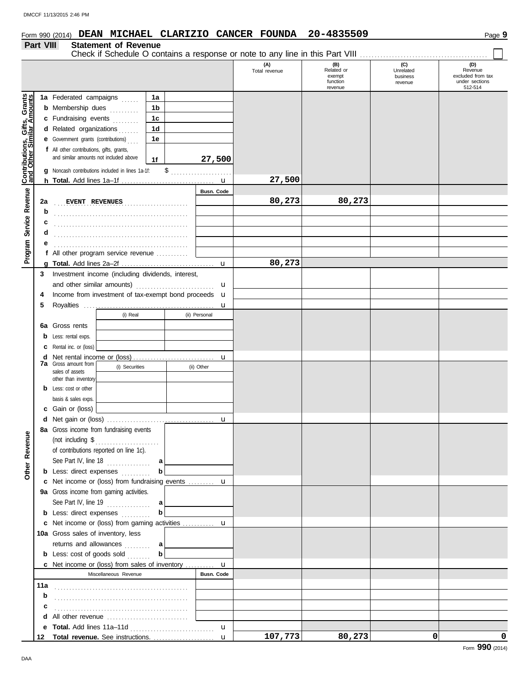## Form 990 (2014) Page **9 DEAN MICHAEL CLARIZIO CANCER FOUNDA 20-4835509**

## **Part VIII Statement of Revenue**

| Slaichleill Ur Nevenue |  |
|------------------------|--|
|                        |  |

|                              |     |                                                                            |                |                   | (A)<br>Total revenue | (B)<br>Related or<br>exempt<br>function<br>revenue | (C)<br>Unrelated<br>business<br>revenue | (D)<br>Revenue<br>excluded from tax<br>under sections<br>512-514 |
|------------------------------|-----|----------------------------------------------------------------------------|----------------|-------------------|----------------------|----------------------------------------------------|-----------------------------------------|------------------------------------------------------------------|
|                              |     | 1a Federated campaigns                                                     | 1a             |                   |                      |                                                    |                                         |                                                                  |
|                              |     | <b>b</b> Membership dues                                                   | 1b             |                   |                      |                                                    |                                         |                                                                  |
|                              |     | c Fundraising events                                                       | 1 <sub>c</sub> |                   |                      |                                                    |                                         |                                                                  |
|                              |     | d Related organizations                                                    | 1d             |                   |                      |                                                    |                                         |                                                                  |
|                              |     | <b>e</b> Government grants (contributions)                                 | 1e             |                   |                      |                                                    |                                         |                                                                  |
|                              |     | f All other contributions, gifts, grants,                                  |                |                   |                      |                                                    |                                         |                                                                  |
|                              |     | and similar amounts not included above                                     | 1f             | 27,500            |                      |                                                    |                                         |                                                                  |
|                              |     | g Noncash contributions included in lines 1a-1f:                           | \$             |                   |                      |                                                    |                                         |                                                                  |
| Contributions, Gifts, Grants |     |                                                                            |                |                   | 27,500               |                                                    |                                         |                                                                  |
|                              |     |                                                                            |                | Busn. Code        |                      |                                                    |                                         |                                                                  |
| Service Revenue              | 2a  | EVENT REVENUES                                                             |                |                   | 80,273               | 80,273                                             |                                         |                                                                  |
|                              | b   |                                                                            |                |                   |                      |                                                    |                                         |                                                                  |
|                              | с   |                                                                            |                |                   |                      |                                                    |                                         |                                                                  |
|                              | d   |                                                                            |                |                   |                      |                                                    |                                         |                                                                  |
|                              | е   |                                                                            |                |                   |                      |                                                    |                                         |                                                                  |
| Program                      |     | f All other program service revenue                                        |                |                   |                      |                                                    |                                         |                                                                  |
|                              |     |                                                                            |                | $\mathbf u$       | 80,273               |                                                    |                                         |                                                                  |
|                              | 3   | Investment income (including dividends, interest,                          |                |                   |                      |                                                    |                                         |                                                                  |
|                              |     |                                                                            |                | $\mathbf u$       |                      |                                                    |                                         |                                                                  |
|                              | 4   | Income from investment of tax-exempt bond proceeds <b>u</b>                |                |                   |                      |                                                    |                                         |                                                                  |
|                              | 5   |                                                                            |                | u                 |                      |                                                    |                                         |                                                                  |
|                              |     | (i) Real                                                                   |                | (ii) Personal     |                      |                                                    |                                         |                                                                  |
|                              |     | 6a Gross rents                                                             |                |                   |                      |                                                    |                                         |                                                                  |
|                              | b   | Less: rental exps.                                                         |                |                   |                      |                                                    |                                         |                                                                  |
|                              |     | Rental inc. or (loss)                                                      |                |                   |                      |                                                    |                                         |                                                                  |
|                              | d   |                                                                            |                | u                 |                      |                                                    |                                         |                                                                  |
|                              |     | <b>7a</b> Gross amount from<br>(i) Securities<br>sales of assets           |                | (ii) Other        |                      |                                                    |                                         |                                                                  |
|                              |     | other than inventory                                                       |                |                   |                      |                                                    |                                         |                                                                  |
|                              |     | <b>b</b> Less: cost or other                                               |                |                   |                      |                                                    |                                         |                                                                  |
|                              |     | basis & sales exps.                                                        |                |                   |                      |                                                    |                                         |                                                                  |
|                              |     | c Gain or (loss)                                                           |                |                   |                      |                                                    |                                         |                                                                  |
|                              | d   |                                                                            |                |                   |                      |                                                    |                                         |                                                                  |
|                              |     | 8a Gross income from fundraising events                                    |                |                   |                      |                                                    |                                         |                                                                  |
| enue                         |     |                                                                            |                |                   |                      |                                                    |                                         |                                                                  |
|                              |     | of contributions reported on line 1c).                                     |                |                   |                      |                                                    |                                         |                                                                  |
|                              |     | See Part IV, line $18$                                                     | a              |                   |                      |                                                    |                                         |                                                                  |
| Other Rev                    |     | <b>b</b> Less: direct expenses <i>minimals</i>                             | b              |                   |                      |                                                    |                                         |                                                                  |
|                              |     | c Net income or (loss) from fundraising events  u                          |                |                   |                      |                                                    |                                         |                                                                  |
|                              |     | 9a Gross income from gaming activities.                                    |                |                   |                      |                                                    |                                         |                                                                  |
|                              |     | See Part IV, line 19 $\ldots$                                              | a              |                   |                      |                                                    |                                         |                                                                  |
|                              |     | <b>b</b> Less: direct expenses                                             | b              |                   |                      |                                                    |                                         |                                                                  |
|                              |     | c Net income or (loss) from gaming activities  u                           |                |                   |                      |                                                    |                                         |                                                                  |
|                              |     | 10a Gross sales of inventory, less                                         |                |                   |                      |                                                    |                                         |                                                                  |
|                              |     | returns and allowances                                                     | a              |                   |                      |                                                    |                                         |                                                                  |
|                              |     | <b>b</b> Less: $cost$ of goods $sol$                                       | b              |                   |                      |                                                    |                                         |                                                                  |
|                              |     | c Net income or (loss) from sales of inventory  u<br>Miscellaneous Revenue |                | <b>Busn. Code</b> |                      |                                                    |                                         |                                                                  |
|                              |     |                                                                            |                |                   |                      |                                                    |                                         |                                                                  |
|                              | 11a |                                                                            |                |                   |                      |                                                    |                                         |                                                                  |
|                              | b   |                                                                            |                |                   |                      |                                                    |                                         |                                                                  |
|                              | c   |                                                                            |                |                   |                      |                                                    |                                         |                                                                  |
|                              |     |                                                                            |                | $\mathbf u$       |                      |                                                    |                                         |                                                                  |
|                              | 12  |                                                                            |                | $\mathbf u$       | 107,773              | 80,273                                             | 0                                       | 0                                                                |
|                              |     |                                                                            |                |                   |                      |                                                    |                                         |                                                                  |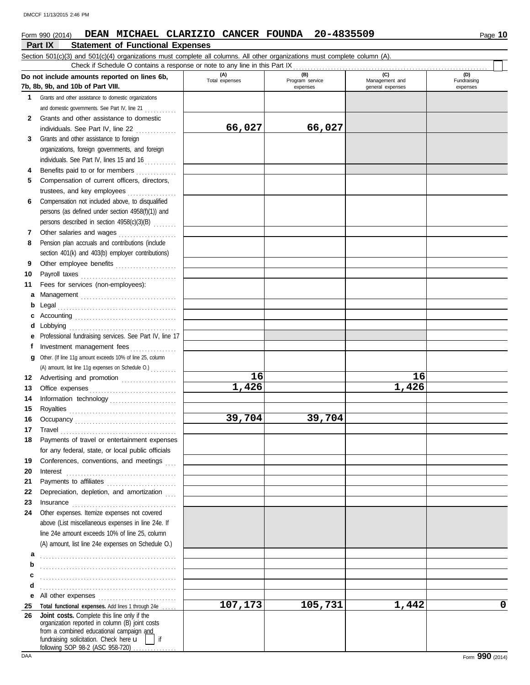**Part IX Statement of Functional Expenses**

### Form 990 (2014) Page **10 DEAN MICHAEL CLARIZIO CANCER FOUNDA 20-4835509**

#### Section 501(c)(3) and 501(c)(4) organizations must complete all columns. All other organizations must complete column (A). **Do not include amounts reported on lines 6b, 7b, 8b, 9b, and 10b of Part VIII. 1 2 3 4 5 6 7 8 9 10 11 a** Management . . . . . . . . . . . . . . . . . . . . . . . . . . . . . . . . . **b c** Accounting . . . . . . . . . . . . . . . . . . . . . . . . . . . . . . . . . . . **d e f g** Other. (If line 11g amount exceeds 10% of line 25, column **12** Advertising and promotion . . . . . . . . . . . . . . . . . . **13 14 15 16 17 18 19 20 21 22 23 24 a b c d e** All other expenses . . . . . . . . . . . . . . . . . . . . . . . . . . . **25 26** Grants and other assistance to domestic organizations and domestic governments. See Part IV, line 21 . . . . . . . . . . . Grants and other assistance to domestic individuals. See Part IV, line 22 . . . . . . . . . . . . . . Grants and other assistance to foreign organizations, foreign governments, and foreign individuals. See Part IV, lines 15 and 16 Benefits paid to or for members . . . . . . . . . . . . . . . . Compensation of current officers, directors, trustees, and key employees . . . . . . . . . . . . . . . . . Compensation not included above, to disqualified persons (as defined under section 4958(f)(1)) and persons described in section 4958(c)(3)(B) . . . . . . . . Other salaries and wages . . . . . . . . . . . . . . . . . . . . Pension plan accruals and contributions (include section 401(k) and 403(b) employer contributions) Other employee benefits ..................... Payroll taxes . . . . . . . . . . . . . . . . . . . . . . . . . . . . . . . . . Fees for services (non-employees): Legal . . . . . . . . . . . . . . . . . . . . . . . . . . . . . . . . . . . . . . . . . Lobbying . . . . . . . . . . . . . . . . . . . . . . . . . . . . . . . . . . . . . Professional fundraising services. See Part IV, line 17 Investment management fees ................ Office expenses . . . . . . . . . . . . . . . . . . . . . . . . . . . . . . Information technology . . . . . . . . . . . . . . . . . . . . . . . Royalties . . . . . . . . . . . . . . . . . . . . . . . . . . . . . . . . . . . . . Occupancy . . . . . . . . . . . . . . . . . . . . . . . . . . . . . . . . . . . Travel . . . . . . . . . . . . . . . . . . . . . . . . . . . . . . . . . . . . . . . . Payments of travel or entertainment expenses for any federal, state, or local public officials Conferences, conventions, and meetings Interest . . . . . . . . . . . . . . . . . . . . . . . . . . . . . . . . . . . . . . Payments to affiliates . . . . . . . . . . . . . . . . . . . . . . . . Depreciation, depletion, and amortization Insurance . . . . . . . . . . . . . . . . . . . . . . . . . . . . . . . . . . . . Other expenses. Itemize expenses not covered above (List miscellaneous expenses in line 24e. If line 24e amount exceeds 10% of line 25, column (A) amount, list line 24e expenses on Schedule O.) Total functional expenses. Add lines 1 through 24e . fundraising solicitation. Check here  $\mathbf{u}$  | if organization reported in column (B) joint costs from a combined educational campaign and **(A) (B) (C) (D)** Nanagement and expenses and general expenses (D)<br>Fundraising expenses . . . . . . . . . . . . . . . . . . . . . . . . . . . . . . . . . . . . . . . . . . . . . . . . . . . . . . . . . . . . . . . . . . . . . . . . . . . . . . . . . . . . . . . . . . . . . . . . . . . . . . . . . . . . . . . . . . . . . . . . . . . . . . . . . . . . . . . . . . . . . Check if Schedule O contains a response or note to any line in this Part IX **Joint costs.** Complete this line only if the (A) amount, list line 11g expenses on Schedule O.) . . . . . . . . . **66,027 66,027 16 16 1,426 1,426 39,704 39,704 107,173 105,731 1,442 0**

following SOP 98-2 (ASC 958-720)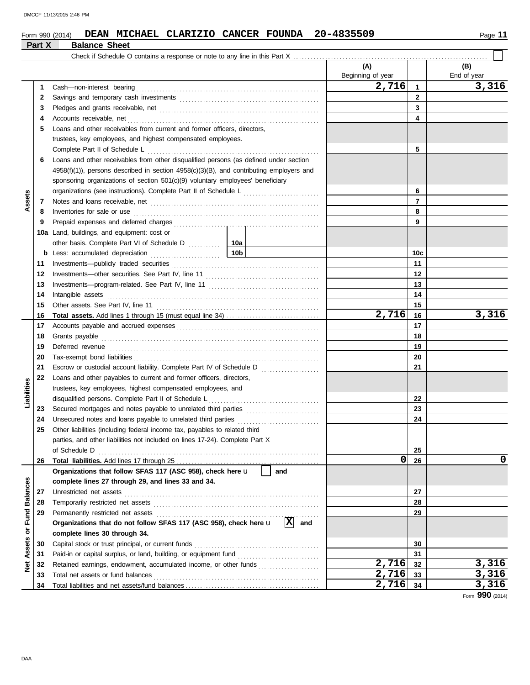#### Form 990 (2014) **DEAN MICHAEL CLARIZIO CANCER FOUNDA 20-4835509** Page **11 DEAN MICHAEL CLARIZIO CANCER FOUNDA 20-4835509**

|                 | Part X | <b>Balance Sheet</b>                                                                                 |                 |     |                   |                |             |
|-----------------|--------|------------------------------------------------------------------------------------------------------|-----------------|-----|-------------------|----------------|-------------|
|                 |        |                                                                                                      |                 |     |                   |                |             |
|                 |        |                                                                                                      |                 |     | (A)               |                | (B)         |
|                 |        |                                                                                                      |                 |     | Beginning of year |                | End of year |
|                 | 1      |                                                                                                      |                 |     | 2,716             | $\mathbf{1}$   | 3,316       |
|                 | 2      |                                                                                                      |                 |     |                   | $\mathbf{2}$   |             |
|                 | 3      |                                                                                                      |                 |     |                   | 3              |             |
|                 | 4      | Accounts receivable, net                                                                             |                 |     |                   | 4              |             |
|                 | 5      | Loans and other receivables from current and former officers, directors,                             |                 |     |                   |                |             |
|                 |        | trustees, key employees, and highest compensated employees.                                          |                 |     |                   |                |             |
|                 |        | Complete Part II of Schedule L                                                                       |                 |     |                   | 5              |             |
|                 | 6      | Loans and other receivables from other disqualified persons (as defined under section                |                 |     |                   |                |             |
|                 |        | $4958(f)(1)$ , persons described in section $4958(c)(3)(B)$ , and contributing employers and         |                 |     |                   |                |             |
|                 |        | sponsoring organizations of section 501(c)(9) voluntary employees' beneficiary                       |                 |     |                   |                |             |
|                 |        | organizations (see instructions). Complete Part II of Schedule L                                     |                 |     |                   | 6              |             |
| Assets          | 7      |                                                                                                      |                 |     |                   | $\overline{7}$ |             |
|                 | 8      |                                                                                                      |                 |     |                   | 8              |             |
|                 | 9      |                                                                                                      |                 |     |                   | 9              |             |
|                 | 10a    | Land, buildings, and equipment: cost or                                                              |                 |     |                   |                |             |
|                 |        |                                                                                                      |                 |     |                   |                |             |
|                 | b      | Less: accumulated depreciation                                                                       | 10 <sub>b</sub> |     |                   | 10c            |             |
|                 | 11     |                                                                                                      |                 |     |                   | 11             |             |
|                 | 12     |                                                                                                      |                 |     |                   | 12             |             |
|                 | 13     |                                                                                                      |                 |     |                   | 13             |             |
|                 | 14     | Intangible assets                                                                                    |                 |     |                   | 14             |             |
|                 | 15     | Other assets. See Part IV, line 11                                                                   |                 |     |                   | 15             |             |
|                 | 16     |                                                                                                      |                 |     | 2,716             | 16             | 3,316       |
|                 | 17     |                                                                                                      |                 |     |                   | 17             |             |
|                 | 18     |                                                                                                      |                 |     |                   | 18             |             |
|                 | 19     |                                                                                                      |                 |     |                   | 19             |             |
|                 | 20     |                                                                                                      |                 |     |                   | 20             |             |
|                 | 21     | Escrow or custodial account liability. Complete Part IV of Schedule D                                |                 |     |                   | 21             |             |
|                 | 22     | Loans and other payables to current and former officers, directors,                                  |                 |     |                   |                |             |
| Liabilities     |        | trustees, key employees, highest compensated employees, and                                          |                 |     |                   |                |             |
|                 |        | disqualified persons. Complete Part II of Schedule L                                                 |                 |     |                   | 22             |             |
|                 | 23     | Secured mortgages and notes payable to unrelated third parties [[[[[[[[[[[[[[[[[[[[[[[[[[[[]]]]]]]]] |                 |     |                   | 23             |             |
|                 | 24     |                                                                                                      |                 |     |                   | 24             |             |
|                 | 25     | Other liabilities (including federal income tax, payables to related third                           |                 |     |                   |                |             |
|                 |        | parties, and other liabilities not included on lines 17-24). Complete Part X                         |                 |     |                   |                |             |
|                 |        | of Schedule D                                                                                        |                 |     |                   | 25             |             |
|                 | 26     |                                                                                                      |                 |     | 0                 | 26             | 0           |
|                 |        | Organizations that follow SFAS 117 (ASC 958), check here u                                           |                 | and |                   |                |             |
|                 |        | complete lines 27 through 29, and lines 33 and 34.                                                   |                 |     |                   |                |             |
| <b>Balances</b> | 27     | Unrestricted net assets                                                                              |                 |     |                   | 27             |             |
|                 | 28     |                                                                                                      |                 |     |                   | 28             |             |
| Fund            | 29     | Permanently restricted net assets                                                                    |                 |     |                   | 29             |             |
|                 |        |                                                                                                      |                 | and |                   |                |             |
| Assets or       |        | complete lines 30 through 34.                                                                        |                 |     |                   |                |             |
|                 | 30     | Capital stock or trust principal, or current funds                                                   |                 |     |                   | 30             |             |
|                 | 31     |                                                                                                      |                 |     |                   | 31             |             |
| <b>Net</b>      | 32     | Retained earnings, endowment, accumulated income, or other funds                                     |                 |     | 2,716             | 32             | 3,316       |
|                 | 33     | Total net assets or fund balances                                                                    |                 |     | $2,716$ 33        |                | 3,316       |
|                 | 34     |                                                                                                      |                 |     | $2,716$ 34        |                | 3,316       |

Form **990** (2014)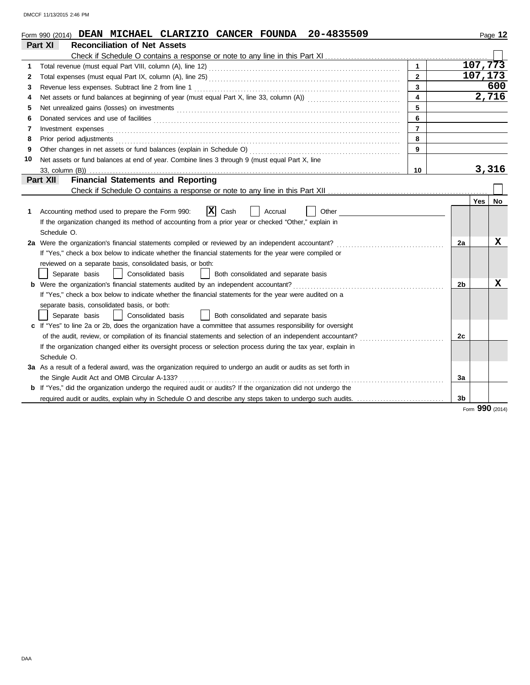DMCCF 11/13/2015 2:46 PM

|    | Form 990 (2014) DEAN MICHAEL CLARIZIO CANCER FOUNDA<br>20-4835509                                                                                                                                                                         |                |            | Page 12 |
|----|-------------------------------------------------------------------------------------------------------------------------------------------------------------------------------------------------------------------------------------------|----------------|------------|---------|
|    | Part XI<br><b>Reconciliation of Net Assets</b>                                                                                                                                                                                            |                |            |         |
|    |                                                                                                                                                                                                                                           |                |            |         |
| 1  |                                                                                                                                                                                                                                           |                | 107,773    |         |
| 2  | $\overline{2}$                                                                                                                                                                                                                            |                | 107,173    |         |
| 3  | $\overline{\mathbf{3}}$<br>Revenue less expenses. Subtract line 2 from line 1                                                                                                                                                             |                |            | 600     |
| 4  | $\overline{\mathbf{4}}$                                                                                                                                                                                                                   |                | 2,716      |         |
| 5  | 5                                                                                                                                                                                                                                         |                |            |         |
| 6  | 6<br>Donated services and use of facilities <b>constants and interview of a constant of a constant of a constant of a constant of a constant of a constant of a constant of a constant of a constant of a constant of a constant of a</b> |                |            |         |
| 7  | $\overline{7}$<br>Investment expenses                                                                                                                                                                                                     |                |            |         |
| 8  | 8<br>Prior period adjustments <b>construction and construction</b> and construction of the construction of the construction of the construction of the construction of the construction of the construction of the construction of the c  |                |            |         |
| 9  | 9                                                                                                                                                                                                                                         |                |            |         |
| 10 | Net assets or fund balances at end of year. Combine lines 3 through 9 (must equal Part X, line                                                                                                                                            |                |            |         |
|    | 33, column (B))<br>10                                                                                                                                                                                                                     |                | 3,316      |         |
|    | <b>Financial Statements and Reporting</b><br>Part XII                                                                                                                                                                                     |                |            |         |
|    |                                                                                                                                                                                                                                           |                |            |         |
|    |                                                                                                                                                                                                                                           |                | <b>Yes</b> | No      |
| 1  | $ \mathbf{x} $<br>Accounting method used to prepare the Form 990:<br>Cash<br>Accrual<br>Other                                                                                                                                             |                |            |         |
|    | If the organization changed its method of accounting from a prior year or checked "Other," explain in                                                                                                                                     |                |            |         |
|    | Schedule O.                                                                                                                                                                                                                               |                |            |         |
|    | 2a Were the organization's financial statements compiled or reviewed by an independent accountant?                                                                                                                                        | 2a             |            | x       |
|    | If "Yes," check a box below to indicate whether the financial statements for the year were compiled or                                                                                                                                    |                |            |         |
|    | reviewed on a separate basis, consolidated basis, or both:                                                                                                                                                                                |                |            |         |
|    | Consolidated basis<br>Separate basis<br>Both consolidated and separate basis                                                                                                                                                              |                |            |         |
|    | <b>b</b> Were the organization's financial statements audited by an independent accountant?                                                                                                                                               | 2b             |            | X       |
|    | If "Yes," check a box below to indicate whether the financial statements for the year were audited on a                                                                                                                                   |                |            |         |
|    | separate basis, consolidated basis, or both:                                                                                                                                                                                              |                |            |         |
|    | Separate basis<br>Consolidated basis<br>Both consolidated and separate basis                                                                                                                                                              |                |            |         |
|    | c If "Yes" to line 2a or 2b, does the organization have a committee that assumes responsibility for oversight                                                                                                                             |                |            |         |
|    | of the audit, review, or compilation of its financial statements and selection of an independent accountant?                                                                                                                              | 2c             |            |         |
|    | If the organization changed either its oversight process or selection process during the tax year, explain in                                                                                                                             |                |            |         |
|    | Schedule O.                                                                                                                                                                                                                               |                |            |         |
|    | 3a As a result of a federal award, was the organization required to undergo an audit or audits as set forth in                                                                                                                            |                |            |         |
|    | the Single Audit Act and OMB Circular A-133?                                                                                                                                                                                              | 3a             |            |         |
|    | b If "Yes," did the organization undergo the required audit or audits? If the organization did not undergo the                                                                                                                            |                |            |         |
|    | required audit or audits, explain why in Schedule O and describe any steps taken to undergo such audits.                                                                                                                                  | 3 <sub>b</sub> |            |         |

Form **990** (2014)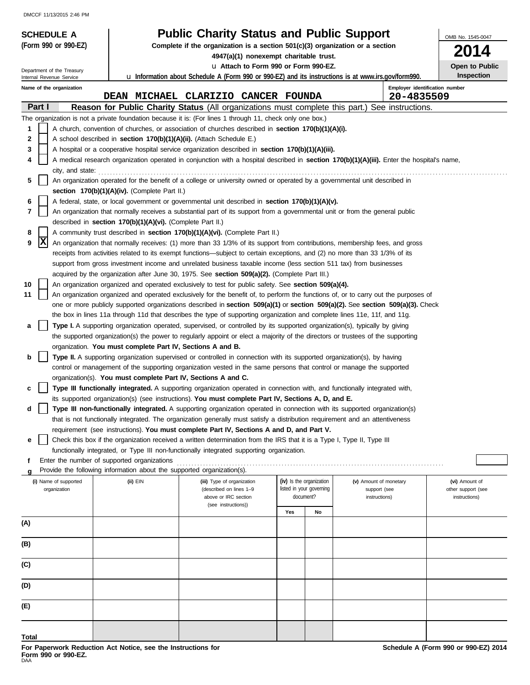DMCCF 11/13/2015 2:46 PM

| <b>DIVICUT THEORY C. TO FIVE</b>          |                                                                        |                                                                                                                                            |     |                                                      |                                        |                                      |  |  |
|-------------------------------------------|------------------------------------------------------------------------|--------------------------------------------------------------------------------------------------------------------------------------------|-----|------------------------------------------------------|----------------------------------------|--------------------------------------|--|--|
| <b>SCHEDULE A</b><br>(Form 990 or 990-EZ) |                                                                        | <b>Public Charity Status and Public Support</b><br>Complete if the organization is a section $501(c)(3)$ organization or a section         |     |                                                      |                                        | OMB No. 1545-0047                    |  |  |
|                                           | 4947(a)(1) nonexempt charitable trust.                                 |                                                                                                                                            |     |                                                      |                                        |                                      |  |  |
| Department of the Treasury                |                                                                        | La Attach to Form 990 or Form 990-EZ.                                                                                                      |     |                                                      |                                        | Open to Public                       |  |  |
| Internal Revenue Service                  |                                                                        | <b>u</b> Information about Schedule A (Form 990 or 990-EZ) and its instructions is at www.irs.gov/form990.                                 |     |                                                      |                                        | Inspection                           |  |  |
| Name of the organization                  |                                                                        | DEAN MICHAEL CLARIZIO CANCER FOUNDA                                                                                                        |     |                                                      | 20-4835509                             | Employer identification number       |  |  |
| Part I                                    |                                                                        | Reason for Public Charity Status (All organizations must complete this part.) See instructions.                                            |     |                                                      |                                        |                                      |  |  |
|                                           |                                                                        | The organization is not a private foundation because it is: (For lines 1 through 11, check only one box.)                                  |     |                                                      |                                        |                                      |  |  |
| 1                                         |                                                                        | A church, convention of churches, or association of churches described in section 170(b)(1)(A)(i).                                         |     |                                                      |                                        |                                      |  |  |
| 2                                         | A school described in section 170(b)(1)(A)(ii). (Attach Schedule E.)   |                                                                                                                                            |     |                                                      |                                        |                                      |  |  |
| 3                                         |                                                                        | A hospital or a cooperative hospital service organization described in section 170(b)(1)(A)(iii).                                          |     |                                                      |                                        |                                      |  |  |
| 4                                         |                                                                        | A medical research organization operated in conjunction with a hospital described in section 170(b)(1)(A)(iii). Enter the hospital's name, |     |                                                      |                                        |                                      |  |  |
| city, and state:                          |                                                                        |                                                                                                                                            |     |                                                      |                                        |                                      |  |  |
| 5                                         |                                                                        | An organization operated for the benefit of a college or university owned or operated by a governmental unit described in                  |     |                                                      |                                        |                                      |  |  |
|                                           | section 170(b)(1)(A)(iv). (Complete Part II.)                          |                                                                                                                                            |     |                                                      |                                        |                                      |  |  |
| 6                                         |                                                                        | A federal, state, or local government or governmental unit described in section 170(b)(1)(A)(v).                                           |     |                                                      |                                        |                                      |  |  |
| 7                                         | described in section 170(b)(1)(A)(vi). (Complete Part II.)             | An organization that normally receives a substantial part of its support from a governmental unit or from the general public               |     |                                                      |                                        |                                      |  |  |
| 8                                         |                                                                        | A community trust described in section 170(b)(1)(A)(vi). (Complete Part II.)                                                               |     |                                                      |                                        |                                      |  |  |
| X<br>9                                    |                                                                        | An organization that normally receives: (1) more than 33 1/3% of its support from contributions, membership fees, and gross                |     |                                                      |                                        |                                      |  |  |
|                                           |                                                                        | receipts from activities related to its exempt functions—subject to certain exceptions, and (2) no more than 33 1/3% of its                |     |                                                      |                                        |                                      |  |  |
|                                           |                                                                        | support from gross investment income and unrelated business taxable income (less section 511 tax) from businesses                          |     |                                                      |                                        |                                      |  |  |
|                                           |                                                                        | acquired by the organization after June 30, 1975. See section 509(a)(2). (Complete Part III.)                                              |     |                                                      |                                        |                                      |  |  |
| 10                                        |                                                                        | An organization organized and operated exclusively to test for public safety. See section 509(a)(4).                                       |     |                                                      |                                        |                                      |  |  |
| 11                                        |                                                                        | An organization organized and operated exclusively for the benefit of, to perform the functions of, or to carry out the purposes of        |     |                                                      |                                        |                                      |  |  |
|                                           |                                                                        | one or more publicly supported organizations described in section 509(a)(1) or section 509(a)(2). See section 509(a)(3). Check             |     |                                                      |                                        |                                      |  |  |
|                                           |                                                                        | the box in lines 11a through 11d that describes the type of supporting organization and complete lines 11e, 11f, and 11g.                  |     |                                                      |                                        |                                      |  |  |
| а                                         |                                                                        | Type I. A supporting organization operated, supervised, or controlled by its supported organization(s), typically by giving                |     |                                                      |                                        |                                      |  |  |
|                                           |                                                                        | the supported organization(s) the power to regularly appoint or elect a majority of the directors or trustees of the supporting            |     |                                                      |                                        |                                      |  |  |
|                                           | organization. You must complete Part IV, Sections A and B.             | Type II. A supporting organization supervised or controlled in connection with its supported organization(s), by having                    |     |                                                      |                                        |                                      |  |  |
| b                                         |                                                                        | control or management of the supporting organization vested in the same persons that control or manage the supported                       |     |                                                      |                                        |                                      |  |  |
|                                           | organization(s). You must complete Part IV, Sections A and C.          |                                                                                                                                            |     |                                                      |                                        |                                      |  |  |
| c                                         |                                                                        | Type III functionally integrated. A supporting organization operated in connection with, and functionally integrated with,                 |     |                                                      |                                        |                                      |  |  |
|                                           |                                                                        | its supported organization(s) (see instructions). You must complete Part IV, Sections A, D, and E.                                         |     |                                                      |                                        |                                      |  |  |
| d                                         |                                                                        | Type III non-functionally integrated. A supporting organization operated in connection with its supported organization(s)                  |     |                                                      |                                        |                                      |  |  |
|                                           |                                                                        | that is not functionally integrated. The organization generally must satisfy a distribution requirement and an attentiveness               |     |                                                      |                                        |                                      |  |  |
|                                           |                                                                        | requirement (see instructions). You must complete Part IV, Sections A and D, and Part V.                                                   |     |                                                      |                                        |                                      |  |  |
| е                                         |                                                                        | Check this box if the organization received a written determination from the IRS that it is a Type I, Type II, Type III                    |     |                                                      |                                        |                                      |  |  |
|                                           |                                                                        | functionally integrated, or Type III non-functionally integrated supporting organization.                                                  |     |                                                      |                                        |                                      |  |  |
| f                                         | Enter the number of supported organizations                            |                                                                                                                                            |     |                                                      |                                        |                                      |  |  |
|                                           | Provide the following information about the supported organization(s). |                                                                                                                                            |     |                                                      |                                        |                                      |  |  |
| (i) Name of supported<br>organization     | (ii) EIN                                                               | (iii) Type of organization<br>(described on lines 1-9                                                                                      |     | (iv) Is the organization<br>listed in your governing | (v) Amount of monetary<br>support (see | (vi) Amount of<br>other support (see |  |  |
|                                           |                                                                        | above or IRC section                                                                                                                       |     | document?                                            | instructions)                          | instructions)                        |  |  |
|                                           |                                                                        | (see instructions))                                                                                                                        | Yes | No                                                   |                                        |                                      |  |  |
| (A)                                       |                                                                        |                                                                                                                                            |     |                                                      |                                        |                                      |  |  |
|                                           |                                                                        |                                                                                                                                            |     |                                                      |                                        |                                      |  |  |
| (B)                                       |                                                                        |                                                                                                                                            |     |                                                      |                                        |                                      |  |  |
|                                           |                                                                        |                                                                                                                                            |     |                                                      |                                        |                                      |  |  |
| (C)                                       |                                                                        |                                                                                                                                            |     |                                                      |                                        |                                      |  |  |
|                                           |                                                                        |                                                                                                                                            |     |                                                      |                                        |                                      |  |  |
| (D)                                       |                                                                        |                                                                                                                                            |     |                                                      |                                        |                                      |  |  |
| (E)                                       |                                                                        |                                                                                                                                            |     |                                                      |                                        |                                      |  |  |
|                                           |                                                                        |                                                                                                                                            |     |                                                      |                                        |                                      |  |  |
|                                           |                                                                        |                                                                                                                                            |     |                                                      |                                        |                                      |  |  |
| Total                                     |                                                                        |                                                                                                                                            |     |                                                      |                                        |                                      |  |  |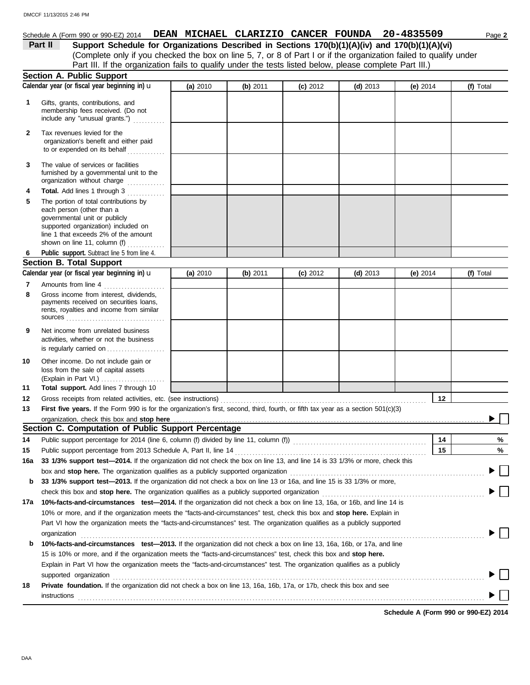## Schedule A (Form 990 or 990-EZ) 2014 **DEAN MICHAEL CLARIZIO CANCER FOUNDA** 20-4835509 Page 2

(Complete only if you checked the box on line 5, 7, or 8 of Part I or if the organization failed to qualify under Part II Support Schedule for Organizations Described in Sections 170(b)(1)(A)(iv) and 170(b)(1)(A)(vi) Part III. If the organization fails to qualify under the tests listed below, please complete Part III.)

|     | <b>Section A. Public Support</b>                                                                                                                                                                                               |          |            |            |            |            |           |
|-----|--------------------------------------------------------------------------------------------------------------------------------------------------------------------------------------------------------------------------------|----------|------------|------------|------------|------------|-----------|
|     | Calendar year (or fiscal year beginning in) u                                                                                                                                                                                  | (a) 2010 | $(b)$ 2011 | $(c)$ 2012 | $(d)$ 2013 | (e) $2014$ | (f) Total |
| 1   | Gifts, grants, contributions, and<br>membership fees received. (Do not<br>include any "unusual grants.")                                                                                                                       |          |            |            |            |            |           |
| 2   | Tax revenues levied for the<br>organization's benefit and either paid<br>to or expended on its behalf                                                                                                                          |          |            |            |            |            |           |
| 3   | The value of services or facilities<br>furnished by a governmental unit to the<br>organization without charge                                                                                                                  |          |            |            |            |            |           |
| 4   | Total. Add lines 1 through 3<br>in a bha bha bha                                                                                                                                                                               |          |            |            |            |            |           |
| 5   | The portion of total contributions by<br>each person (other than a<br>governmental unit or publicly<br>supported organization) included on<br>line 1 that exceeds 2% of the amount<br>shown on line 11, column (f) $\ldots$    |          |            |            |            |            |           |
| 6   | Public support. Subtract line 5 from line 4.                                                                                                                                                                                   |          |            |            |            |            |           |
|     | <b>Section B. Total Support</b>                                                                                                                                                                                                |          |            |            |            |            |           |
|     | Calendar year (or fiscal year beginning in) u                                                                                                                                                                                  | (a) 2010 | (b) 2011   | $(c)$ 2012 | $(d)$ 2013 | (e) $2014$ | (f) Total |
| 7   | Amounts from line 4                                                                                                                                                                                                            |          |            |            |            |            |           |
| 8   | Gross income from interest, dividends,<br>payments received on securities loans,<br>rents, royalties and income from similar<br>$sources$                                                                                      |          |            |            |            |            |           |
| 9   | Net income from unrelated business<br>activities, whether or not the business<br>is regularly carried on                                                                                                                       |          |            |            |            |            |           |
| 10  | Other income. Do not include gain or<br>loss from the sale of capital assets<br>(Explain in Part VI.)                                                                                                                          |          |            |            |            |            |           |
| 11  | Total support. Add lines 7 through 10                                                                                                                                                                                          |          |            |            |            |            |           |
| 12  |                                                                                                                                                                                                                                |          |            |            |            | 12         |           |
| 13  | First five years. If the Form 990 is for the organization's first, second, third, fourth, or fifth tax year as a section $501(c)(3)$                                                                                           |          |            |            |            |            |           |
|     | organization, check this box and stop here                                                                                                                                                                                     |          |            |            |            |            |           |
|     | Section C. Computation of Public Support Percentage                                                                                                                                                                            |          |            |            |            |            |           |
| 14  |                                                                                                                                                                                                                                |          |            |            |            | 14         | ℅         |
| 15  |                                                                                                                                                                                                                                |          |            |            |            | 15         | %         |
| 16a | 33 1/3% support test-2014. If the organization did not check the box on line 13, and line 14 is 33 1/3% or more, check this                                                                                                    |          |            |            |            |            |           |
|     | box and stop here. The organization qualifies as a publicly supported organization                                                                                                                                             |          |            |            |            |            |           |
| b   | 33 1/3% support test-2013. If the organization did not check a box on line 13 or 16a, and line 15 is 33 1/3% or more,                                                                                                          |          |            |            |            |            |           |
|     | check this box and stop here. The organization qualifies as a publicly supported organization <b>conserved</b> conserved this box and stop here.                                                                               |          |            |            |            |            |           |
| 17a | 10%-facts-and-circumstances test-2014. If the organization did not check a box on line 13, 16a, or 16b, and line 14 is                                                                                                         |          |            |            |            |            |           |
|     | 10% or more, and if the organization meets the "facts-and-circumstances" test, check this box and <b>stop here.</b> Explain in                                                                                                 |          |            |            |            |            |           |
|     | Part VI how the organization meets the "facts-and-circumstances" test. The organization qualifies as a publicly supported                                                                                                      |          |            |            |            |            |           |
|     | organization                                                                                                                                                                                                                   |          |            |            |            |            |           |
| b   | 10%-facts-and-circumstances test-2013. If the organization did not check a box on line 13, 16a, 16b, or 17a, and line                                                                                                          |          |            |            |            |            |           |
|     | 15 is 10% or more, and if the organization meets the "facts-and-circumstances" test, check this box and stop here.                                                                                                             |          |            |            |            |            |           |
|     | Explain in Part VI how the organization meets the "facts-and-circumstances" test. The organization qualifies as a publicly                                                                                                     |          |            |            |            |            |           |
|     | supported organization contains a construction of the contact of the contact of the contact of the contact of the contact of the contact of the contact of the contact of the contact of the contact of the contact of the con |          |            |            |            |            |           |
| 18  | Private foundation. If the organization did not check a box on line 13, 16a, 16b, 17a, or 17b, check this box and see                                                                                                          |          |            |            |            |            |           |
|     |                                                                                                                                                                                                                                |          |            |            |            |            |           |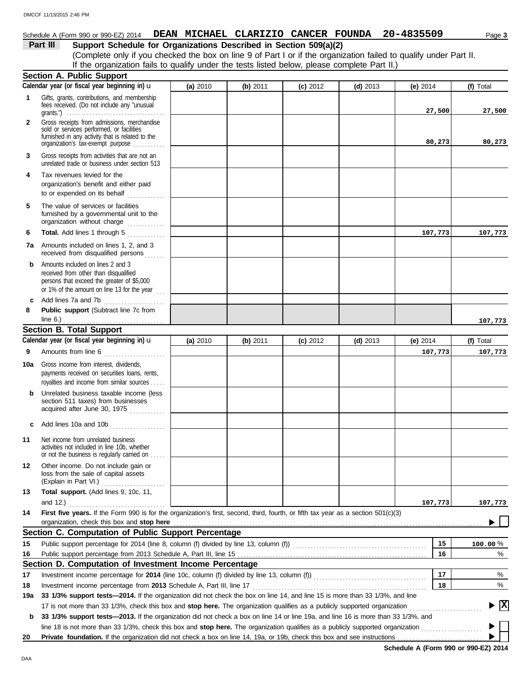### Schedule A (Form 990 or 990-EZ) 2014 **DEAN MICHAEL CLARIZIO CANCER FOUNDA** 20-4835509 Page 3

### **Part III Support Schedule for Organizations Described in Section 509(a)(2)**

(Complete only if you checked the box on line 9 of Part I or if the organization failed to qualify under Part II. If the organization fails to qualify under the tests listed below, please complete Part II.)

|              | <b>Section A. Public Support</b>                                                                                                                                                                                                                                |          |          |            |            |            |                         |
|--------------|-----------------------------------------------------------------------------------------------------------------------------------------------------------------------------------------------------------------------------------------------------------------|----------|----------|------------|------------|------------|-------------------------|
|              | Calendar year (or fiscal year beginning in) u                                                                                                                                                                                                                   | (a) 2010 | (b) 2011 | $(c)$ 2012 | $(d)$ 2013 | (e) 2014   | (f) Total               |
| $\mathbf 1$  | Gifts, grants, contributions, and membership<br>fees received. (Do not include any "unusual<br>grants.") $\ldots \ldots \ldots \ldots \ldots \ldots \ldots \ldots \ldots \ldots \ldots \ldots$                                                                  |          |          |            |            | 27,500     | 27,500                  |
| $\mathbf{2}$ | Gross receipts from admissions, merchandise<br>sold or services performed, or facilities<br>furnished in any activity that is related to the<br>organization's tax-exempt purpose                                                                               |          |          |            |            | 80,273     | 80,273                  |
| 3            | Gross receipts from activities that are not an<br>unrelated trade or business under section 513                                                                                                                                                                 |          |          |            |            |            |                         |
| 4            | Tax revenues levied for the<br>organization's benefit and either paid<br>to or expended on its behalf                                                                                                                                                           |          |          |            |            |            |                         |
| 5            | The value of services or facilities<br>furnished by a governmental unit to the<br>organization without charge                                                                                                                                                   |          |          |            |            |            |                         |
| 6            | Total. Add lines 1 through 5<br>.                                                                                                                                                                                                                               |          |          |            |            | 107,773    | 107,773                 |
| 7a           | Amounts included on lines 1, 2, and 3<br>received from disqualified persons<br>.                                                                                                                                                                                |          |          |            |            |            |                         |
| b            | Amounts included on lines 2 and 3<br>received from other than disqualified<br>persons that exceed the greater of \$5,000<br>or 1% of the amount on line 13 for the year $\ldots$                                                                                |          |          |            |            |            |                         |
| c            | Add lines 7a and 7b                                                                                                                                                                                                                                             |          |          |            |            |            |                         |
| 8            | Public support (Subtract line 7c from<br>line $6.$ )                                                                                                                                                                                                            |          |          |            |            |            | 107,773                 |
|              | <b>Section B. Total Support</b>                                                                                                                                                                                                                                 |          |          |            |            |            |                         |
|              | Calendar year (or fiscal year beginning in) $\mathbf u$                                                                                                                                                                                                         | (a) 2010 | (b) 2011 | $(c)$ 2012 | $(d)$ 2013 | (e) $2014$ | (f) Total               |
| 9            | Amounts from line 6                                                                                                                                                                                                                                             |          |          |            |            | 107,773    | 107,773                 |
| 10a          | Gross income from interest, dividends,<br>payments received on securities loans, rents,<br>royalties and income from similar sources                                                                                                                            |          |          |            |            |            |                         |
| b            | Unrelated business taxable income (less<br>section 511 taxes) from businesses<br>acquired after June 30, 1975                                                                                                                                                   |          |          |            |            |            |                         |
| c            | Add lines 10a and 10b                                                                                                                                                                                                                                           |          |          |            |            |            |                         |
| 11           | Net income from unrelated business<br>activities not included in line 10b, whether<br>or not the business is regularly carried on                                                                                                                               |          |          |            |            |            |                         |
| 12           | Other income. Do not include gain or<br>loss from the sale of capital assets<br>(Explain in Part VI.)                                                                                                                                                           |          |          |            |            |            |                         |
| 13           | Total support. (Add lines 9, 10c, 11,                                                                                                                                                                                                                           |          |          |            |            |            |                         |
|              | and 12.)                                                                                                                                                                                                                                                        |          |          |            |            | 107,773    | 107,773                 |
| 14           | First five years. If the Form 990 is for the organization's first, second, third, fourth, or fifth tax year as a section 501(c)(3)                                                                                                                              |          |          |            |            |            |                         |
|              | organization, check this box and stop here <i>manual content of the content of the content of the content of the content of the content of the content of the content of the content of the content of the content of the conten</i>                            |          |          |            |            |            |                         |
|              | Section C. Computation of Public Support Percentage                                                                                                                                                                                                             |          |          |            |            |            |                         |
| 15           | Public support percentage for 2014 (line 8, column (f) divided by line 13, column (f)) [[[[[[[[[[[[[[[[[[[[[[                                                                                                                                                   |          |          |            |            | 15<br>16   | $100.00\,\%$            |
| 16           | Section D. Computation of Investment Income Percentage                                                                                                                                                                                                          |          |          |            |            |            | %                       |
| 17           |                                                                                                                                                                                                                                                                 |          |          |            |            | 17         | %                       |
| 18           | Investment income percentage from 2013 Schedule A, Part III, line 17                                                                                                                                                                                            |          |          |            |            | 18         | %                       |
| 19a          | 33 1/3% support tests—2014. If the organization did not check the box on line 14, and line 15 is more than 33 1/3%, and line                                                                                                                                    |          |          |            |            |            |                         |
| b            | 17 is not more than 33 1/3%, check this box and stop here. The organization qualifies as a publicly supported organization<br>33 1/3% support tests-2013. If the organization did not check a box on line 14 or line 19a, and line 16 is more than 33 1/3%, and |          |          |            |            |            | $\overline{\mathbf{x}}$ |
|              | line 18 is not more than 33 1/3%, check this box and stop here. The organization qualifies as a publicly supported organization                                                                                                                                 |          |          |            |            |            |                         |
| 20           | Private foundation. If the organization did not check a box on line 14, 19a, or 19b, check this box and see instructions                                                                                                                                        |          |          |            |            |            |                         |

**Schedule A (Form 990 or 990-EZ) 2014**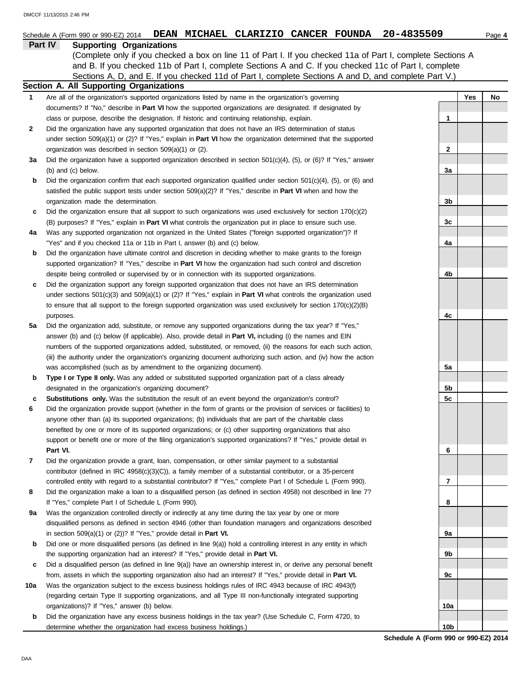|              | 20-4835509<br>DEAN MICHAEL CLARIZIO CANCER FOUNDA<br>Schedule A (Form 990 or 990-EZ) 2014                                                 |                 |     | Page 4 |
|--------------|-------------------------------------------------------------------------------------------------------------------------------------------|-----------------|-----|--------|
|              | Part IV<br><b>Supporting Organizations</b>                                                                                                |                 |     |        |
|              | (Complete only if you checked a box on line 11 of Part I. If you checked 11a of Part I, complete Sections A                               |                 |     |        |
|              | and B. If you checked 11b of Part I, complete Sections A and C. If you checked 11c of Part I, complete                                    |                 |     |        |
|              | Sections A, D, and E. If you checked 11d of Part I, complete Sections A and D, and complete Part V.)                                      |                 |     |        |
|              | Section A. All Supporting Organizations                                                                                                   |                 |     |        |
| 1            | Are all of the organization's supported organizations listed by name in the organization's governing                                      |                 | Yes | No     |
|              | documents? If "No," describe in Part VI how the supported organizations are designated. If designated by                                  |                 |     |        |
|              | class or purpose, describe the designation. If historic and continuing relationship, explain.                                             | $\mathbf{1}$    |     |        |
| $\mathbf{2}$ | Did the organization have any supported organization that does not have an IRS determination of status                                    |                 |     |        |
|              | under section 509(a)(1) or (2)? If "Yes," explain in <b>Part VI</b> how the organization determined that the supported                    |                 |     |        |
|              | organization was described in section 509(a)(1) or (2).                                                                                   | $\mathbf{2}$    |     |        |
| За           | Did the organization have a supported organization described in section $501(c)(4)$ , $(5)$ , or $(6)$ ? If "Yes," answer                 |                 |     |        |
| b            | (b) and (c) below.<br>Did the organization confirm that each supported organization qualified under section $501(c)(4)$ , (5), or (6) and | За              |     |        |
|              | satisfied the public support tests under section $509(a)(2)$ ? If "Yes," describe in <b>Part VI</b> when and how the                      |                 |     |        |
|              | organization made the determination.                                                                                                      | 3b              |     |        |
| c            | Did the organization ensure that all support to such organizations was used exclusively for section $170(c)(2)$                           |                 |     |        |
|              | (B) purposes? If "Yes," explain in Part VI what controls the organization put in place to ensure such use.                                | 3c              |     |        |
| 4a           | Was any supported organization not organized in the United States ("foreign supported organization")? If                                  |                 |     |        |
|              | "Yes" and if you checked 11a or 11b in Part I, answer (b) and (c) below.                                                                  | 4a              |     |        |
| b            | Did the organization have ultimate control and discretion in deciding whether to make grants to the foreign                               |                 |     |        |
|              | supported organization? If "Yes," describe in Part VI how the organization had such control and discretion                                |                 |     |        |
|              | despite being controlled or supervised by or in connection with its supported organizations.                                              | 4b              |     |        |
| c            | Did the organization support any foreign supported organization that does not have an IRS determination                                   |                 |     |        |
|              | under sections $501(c)(3)$ and $509(a)(1)$ or (2)? If "Yes," explain in <b>Part VI</b> what controls the organization used                |                 |     |        |
|              | to ensure that all support to the foreign supported organization was used exclusively for section $170(c)(2)(B)$                          |                 |     |        |
|              | purposes.                                                                                                                                 | 4c              |     |        |
| 5a           | Did the organization add, substitute, or remove any supported organizations during the tax year? If "Yes,"                                |                 |     |        |
|              | answer (b) and (c) below (if applicable). Also, provide detail in <b>Part VI</b> , including (i) the names and EIN                        |                 |     |        |
|              | numbers of the supported organizations added, substituted, or removed, (ii) the reasons for each such action,                             |                 |     |        |
|              | (iii) the authority under the organization's organizing document authorizing such action, and (iv) how the action                         |                 |     |        |
|              | was accomplished (such as by amendment to the organizing document).                                                                       | 5a              |     |        |
| b            | Type I or Type II only. Was any added or substituted supported organization part of a class already                                       |                 |     |        |
|              | designated in the organization's organizing document?                                                                                     | 5b              |     |        |
| c            | <b>Substitutions only.</b> Was the substitution the result of an event beyond the organization's control?                                 | 5 <sub>c</sub>  |     |        |
| 6            | Did the organization provide support (whether in the form of grants or the provision of services or facilities) to                        |                 |     |        |
|              | anyone other than (a) its supported organizations; (b) individuals that are part of the charitable class                                  |                 |     |        |
|              | benefited by one or more of its supported organizations; or (c) other supporting organizations that also                                  |                 |     |        |
|              | support or benefit one or more of the filing organization's supported organizations? If "Yes," provide detail in<br>Part VI.              | 6               |     |        |
| 7            | Did the organization provide a grant, loan, compensation, or other similar payment to a substantial                                       |                 |     |        |
|              | contributor (defined in IRC $4958(c)(3)(C)$ ), a family member of a substantial contributor, or a 35-percent                              |                 |     |        |
|              | controlled entity with regard to a substantial contributor? If "Yes," complete Part I of Schedule L (Form 990).                           | 7               |     |        |
| 8            | Did the organization make a loan to a disqualified person (as defined in section 4958) not described in line 7?                           |                 |     |        |
|              | If "Yes," complete Part I of Schedule L (Form 990).                                                                                       | 8               |     |        |
| 9а           | Was the organization controlled directly or indirectly at any time during the tax year by one or more                                     |                 |     |        |
|              | disqualified persons as defined in section 4946 (other than foundation managers and organizations described                               |                 |     |        |
|              | in section $509(a)(1)$ or $(2)$ ? If "Yes," provide detail in Part VI.                                                                    | 9а              |     |        |
| b            | Did one or more disqualified persons (as defined in line 9(a)) hold a controlling interest in any entity in which                         |                 |     |        |
|              | the supporting organization had an interest? If "Yes," provide detail in Part VI.                                                         | 9b              |     |        |
| c            | Did a disqualified person (as defined in line 9(a)) have an ownership interest in, or derive any personal benefit                         |                 |     |        |
|              | from, assets in which the supporting organization also had an interest? If "Yes," provide detail in Part VI.                              | 9c              |     |        |
| 10a          | Was the organization subject to the excess business holdings rules of IRC 4943 because of IRC 4943(f)                                     |                 |     |        |
|              | (regarding certain Type II supporting organizations, and all Type III non-functionally integrated supporting                              |                 |     |        |
|              | organizations)? If "Yes," answer (b) below.                                                                                               | 10a             |     |        |
| b            | Did the organization have any excess business holdings in the tax year? (Use Schedule C, Form 4720, to                                    |                 |     |        |
|              | determine whether the organization had excess business holdings.)                                                                         | 10 <sub>b</sub> |     |        |

**Schedule A (Form 990 or 990-EZ) 2014**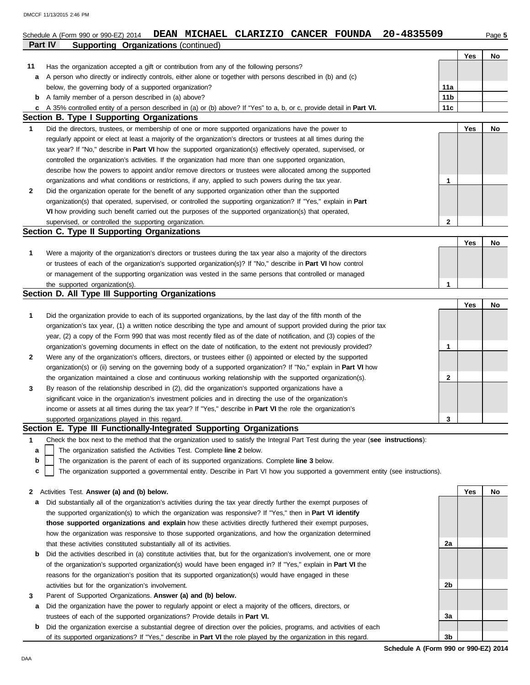|              | 20-4835509<br>Schedule A (Form 990 or 990-EZ) 2014 DEAN MICHAEL CLARIZIO CANCER FOUNDA                                            |                 |            | Page 5 |
|--------------|-----------------------------------------------------------------------------------------------------------------------------------|-----------------|------------|--------|
|              | Part IV<br><b>Supporting Organizations (continued)</b>                                                                            |                 |            |        |
|              |                                                                                                                                   |                 | <b>Yes</b> | No     |
| 11           | Has the organization accepted a gift or contribution from any of the following persons?                                           |                 |            |        |
| а            | A person who directly or indirectly controls, either alone or together with persons described in (b) and (c)                      |                 |            |        |
|              | below, the governing body of a supported organization?                                                                            | 11a             |            |        |
|              | <b>b</b> A family member of a person described in (a) above?                                                                      | 11 <sub>b</sub> |            |        |
| C            | A 35% controlled entity of a person described in (a) or (b) above? If "Yes" to a, b, or c, provide detail in Part VI.             | 11c             |            |        |
|              | <b>Section B. Type I Supporting Organizations</b>                                                                                 |                 |            |        |
| $\mathbf{1}$ | Did the directors, trustees, or membership of one or more supported organizations have the power to                               |                 | Yes        | No     |
|              | regularly appoint or elect at least a majority of the organization's directors or trustees at all times during the                |                 |            |        |
|              | tax year? If "No," describe in <b>Part VI</b> how the supported organization(s) effectively operated, supervised, or              |                 |            |        |
|              | controlled the organization's activities. If the organization had more than one supported organization,                           |                 |            |        |
|              | describe how the powers to appoint and/or remove directors or trustees were allocated among the supported                         |                 |            |        |
|              | organizations and what conditions or restrictions, if any, applied to such powers during the tax year.                            | 1.              |            |        |
| 2            | Did the organization operate for the benefit of any supported organization other than the supported                               |                 |            |        |
|              | organization(s) that operated, supervised, or controlled the supporting organization? If "Yes," explain in Part                   |                 |            |        |
|              | VI how providing such benefit carried out the purposes of the supported organization(s) that operated,                            |                 |            |        |
|              | supervised, or controlled the supporting organization.                                                                            | 2               |            |        |
|              | Section C. Type II Supporting Organizations                                                                                       |                 |            |        |
|              |                                                                                                                                   |                 | <b>Yes</b> | No     |
| 1            | Were a majority of the organization's directors or trustees during the tax year also a majority of the directors                  |                 |            |        |
|              | or trustees of each of the organization's supported organization(s)? If "No," describe in <b>Part VI</b> how control              |                 |            |        |
|              | or management of the supporting organization was vested in the same persons that controlled or managed                            |                 |            |        |
|              | the supported organization(s).                                                                                                    | 1               |            |        |
|              | Section D. All Type III Supporting Organizations                                                                                  |                 |            |        |
|              |                                                                                                                                   |                 | <b>Yes</b> | No     |
| 1            | Did the organization provide to each of its supported organizations, by the last day of the fifth month of the                    |                 |            |        |
|              | organization's tax year, (1) a written notice describing the type and amount of support provided during the prior tax             |                 |            |        |
|              | year, (2) a copy of the Form 990 that was most recently filed as of the date of notification, and (3) copies of the               |                 |            |        |
|              | organization's governing documents in effect on the date of notification, to the extent not previously provided?                  | 1               |            |        |
| 2            | Were any of the organization's officers, directors, or trustees either (i) appointed or elected by the supported                  |                 |            |        |
|              | organization(s) or (ii) serving on the governing body of a supported organization? If "No," explain in <b>Part VI</b> how         |                 |            |        |
|              | the organization maintained a close and continuous working relationship with the supported organization(s).                       | $\mathbf{2}$    |            |        |
| 3            | By reason of the relationship described in (2), did the organization's supported organizations have a                             |                 |            |        |
|              | significant voice in the organization's investment policies and in directing the use of the organization's                        |                 |            |        |
|              | income or assets at all times during the tax year? If "Yes," describe in Part VI the role the organization's                      |                 |            |        |
|              | supported organizations played in this regard.                                                                                    |                 |            |        |
|              | Section E. Type III Functionally-Integrated Supporting Organizations                                                              |                 |            |        |
| 1            | Check the box next to the method that the organization used to satisfy the Integral Part Test during the year (see instructions): |                 |            |        |
| a            | The organization satisfied the Activities Test. Complete line 2 below.                                                            |                 |            |        |
| b            | The organization is the parent of each of its supported organizations. Complete line 3 below.                                     |                 |            |        |
| C            | The organization supported a governmental entity. Describe in Part VI how you supported a government entity (see instructions).   |                 |            |        |
|              |                                                                                                                                   |                 |            |        |
| 2            | Activities Test. Answer (a) and (b) below.                                                                                        |                 | <b>Yes</b> | No     |
| а            | Did substantially all of the organization's activities during the tax year directly further the exempt purposes of                |                 |            |        |
|              | the supported organization(s) to which the organization was responsive? If "Yes," then in <b>Part VI identify</b>                 |                 |            |        |
|              | those supported organizations and explain how these activities directly furthered their exempt purposes,                          |                 |            |        |
|              | how the organization was responsive to those supported organizations, and how the organization determined                         |                 |            |        |
|              | that these activities constituted substantially all of its activities.                                                            | 2a              |            |        |
| b            | Did the activities described in (a) constitute activities that, but for the organization's involvement, one or more               |                 |            |        |
|              | of the organization's supported organization(s) would have been engaged in? If "Yes," explain in <b>Part VI</b> the               |                 |            |        |
|              | reasons for the organization's position that its supported organization(s) would have engaged in these                            |                 |            |        |
|              | activities but for the organization's involvement.                                                                                | 2b              |            |        |
| 3            | Parent of Supported Organizations. Answer (a) and (b) below.                                                                      |                 |            |        |
| а            | Did the organization have the power to regularly appoint or elect a majority of the officers, directors, or                       |                 |            |        |
|              | trustees of each of the supported organizations? Provide details in <b>Part VI.</b>                                               | За              |            |        |
| b            | Did the organization exercise a substantial degree of direction over the policies, programs, and activities of each               |                 |            |        |
|              | of its supported organizations? If "Yes," describe in Part VI the role played by the organization in this regard.                 | 3b              |            |        |

**Schedule A (Form 990 or 990-EZ) 2014**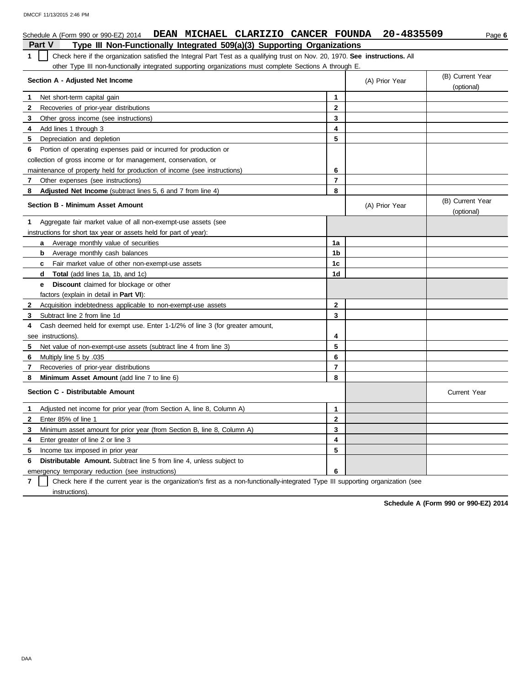#### **Part V Type III Non-Functionally Integrated 509(a)(3) Supporting Organizations** Schedule A (Form 990 or 990-EZ) 2014 **DEAN MICHAEL CLARIZIO CANCER FOUNDA** 20-4835509 Page 6 **1** Check here if the organization satisfied the Integral Part Test as a qualifying trust on Nov. 20, 1970. **See instructions.** All other Type III non-functionally integrated supporting organizations must complete Sections A through E. **1 2** Recoveries of prior-year distributions **3 4** Add lines 1 through 3 **5 6 7 8 1 Section A - Adjusted Net Income** Net short-term capital gain Other gross income (see instructions) Depreciation and depletion Portion of operating expenses paid or incurred for production or collection of gross income or for management, conservation, or maintenance of property held for production of income (see instructions) Other expenses (see instructions) **Adjusted Net Income** (subtract lines 5, 6 and 7 from line 4) **Section B - Minimum Asset Amount** Aggregate fair market value of all non-exempt-use assets (see instructions for short tax year or assets held for part of year): **a** Average monthly value of securities **b** Average monthly cash balances **c** Fair market value of other non-exempt-use assets **d Total** (add lines 1a, 1b, and 1c) **e Discount** claimed for blockage or other factors (explain in detail in **Part VI**): **8 Minimum Asset Amount** (add line 7 to line 6) **7 6** Multiply line 5 by .035 **5 4 3 2** Acquisition indebtedness applicable to non-exempt-use assets Subtract line 2 from line 1d Cash deemed held for exempt use. Enter 1-1/2% of line 3 (for greater amount, see instructions). Net value of non-exempt-use assets (subtract line 4 from line 3) Recoveries of prior-year distributions **Section C - Distributable Amount 6 5 4 3 2** Enter 85% of line 1 **1** Adjusted net income for prior year (from Section A, line 8, Column A) Minimum asset amount for prior year (from Section B, line 8, Column A) Enter greater of line 2 or line 3 Income tax imposed in prior year **Distributable Amount.** Subtract line 5 from line 4, unless subject to emergency temporary reduction (see instructions) **8 7 6 5 4 3 2 1** (A) Prior Year (B) Current Year (optional) (optional) (B) Current Year (A) Prior Year **1a 1b 1c 1d 2 3 4 5 6 7 8 3 2 1 6 5 4** Current Year

**7** instructions). Check here if the current year is the organization's first as a non-functionally-integrated Type III supporting organization (see

**Schedule A (Form 990 or 990-EZ) 2014**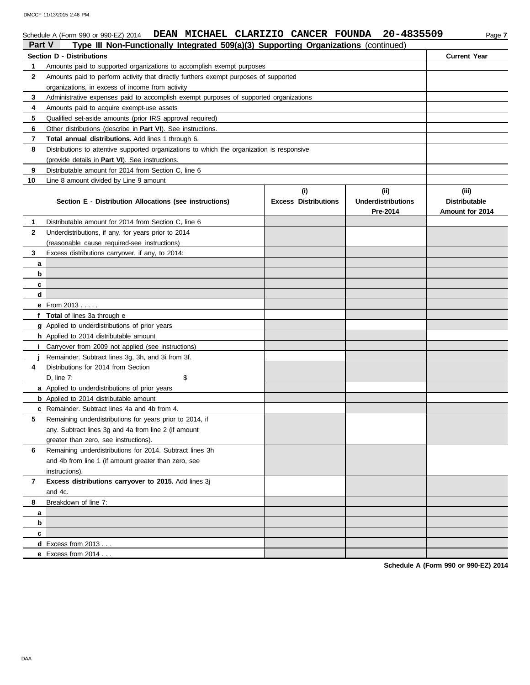DMCCF 11/13/2015 2:46 PM

#### Schedule A (Form 990 or 990-EZ) 2014 **DEAN MICHAEL CLARIZIO CANCER FOUNDA** 20-4835509 Page 7 **Part V Type III Non-Functionally Integrated 509(a)(3) Supporting Organizations** (continued) **Section D - Distributions Current Year 1 2 3 4 5 6 7 8 9 10** Amounts paid to supported organizations to accomplish exempt purposes Amounts paid to perform activity that directly furthers exempt purposes of supported organizations, in excess of income from activity Administrative expenses paid to accomplish exempt purposes of supported organizations Amounts paid to acquire exempt-use assets Qualified set-aside amounts (prior IRS approval required) Other distributions (describe in **Part VI**). See instructions. **Total annual distributions.** Add lines 1 through 6. Distributions to attentive supported organizations to which the organization is responsive (provide details in **Part VI**). See instructions. Distributable amount for 2014 from Section C, line 6 Line 8 amount divided by Line 9 amount **Section E - Distribution Allocations (see instructions) Excess Distributions (i) (ii) Underdistributions Pre-2014 (iii) Distributable Amount for 2014 8 7 6** Remaining underdistributions for 2014. Subtract lines 3h **5 4 3 2 1 a b c d e** From 2013 . . . . . **f Total** of lines 3a through e **g** Applied to underdistributions of prior years **h** Applied to 2014 distributable amount **i** Carryover from 2009 not applied (see instructions) **j** Remainder. Subtract lines 3g, 3h, and 3i from 3f. **a** Applied to underdistributions of prior years **b** Applied to 2014 distributable amount **c** Remainder. Subtract lines 4a and 4b from 4. Distributable amount for 2014 from Section C, line 6 Underdistributions, if any, for years prior to 2014 (reasonable cause required-see instructions) Excess distributions carryover, if any, to 2014: Distributions for 2014 from Section D, line  $7:$  \$ Remaining underdistributions for years prior to 2014, if any. Subtract lines 3g and 4a from line 2 (if amount greater than zero, see instructions). and 4b from line 1 (if amount greater than zero, see instructions). **Excess distributions carryover to 2015.** Add lines 3j and 4c. Breakdown of line 7:

**Schedule A (Form 990 or 990-EZ) 2014**

**a b c**

> **d** Excess from 2013 . . . **e** Excess from 2014 . . .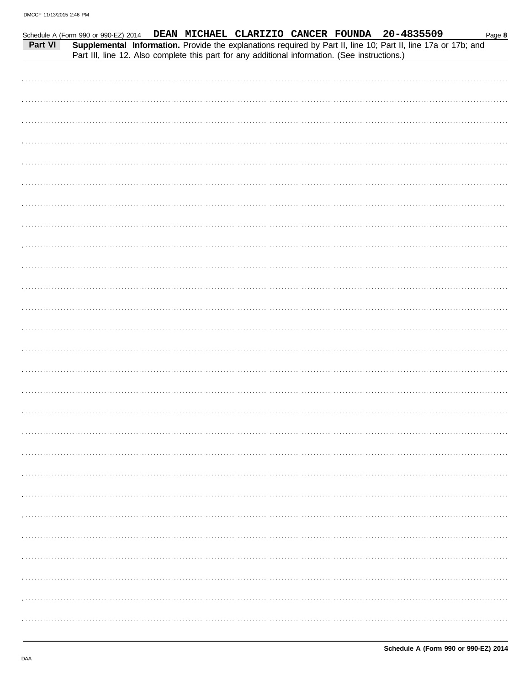|         |  |  |  |                                                                                                | Schedule A (Form 990 or 990-EZ) 2014 DEAN MICHAEL CLARIZIO CANCER FOUNDA 20-4835509                            | Page 8 |
|---------|--|--|--|------------------------------------------------------------------------------------------------|----------------------------------------------------------------------------------------------------------------|--------|
| Part VI |  |  |  |                                                                                                | Supplemental Information. Provide the explanations required by Part II, line 10; Part II, line 17a or 17b; and |        |
|         |  |  |  | Part III, line 12. Also complete this part for any additional information. (See instructions.) |                                                                                                                |        |
|         |  |  |  |                                                                                                |                                                                                                                |        |
|         |  |  |  |                                                                                                |                                                                                                                |        |
|         |  |  |  |                                                                                                |                                                                                                                |        |
|         |  |  |  |                                                                                                |                                                                                                                |        |
|         |  |  |  |                                                                                                |                                                                                                                |        |
|         |  |  |  |                                                                                                |                                                                                                                |        |
|         |  |  |  |                                                                                                |                                                                                                                |        |
|         |  |  |  |                                                                                                |                                                                                                                |        |
|         |  |  |  |                                                                                                |                                                                                                                |        |
|         |  |  |  |                                                                                                |                                                                                                                |        |
|         |  |  |  |                                                                                                |                                                                                                                |        |
|         |  |  |  |                                                                                                |                                                                                                                |        |
|         |  |  |  |                                                                                                |                                                                                                                |        |
|         |  |  |  |                                                                                                |                                                                                                                |        |
|         |  |  |  |                                                                                                |                                                                                                                |        |
|         |  |  |  |                                                                                                |                                                                                                                |        |
|         |  |  |  |                                                                                                |                                                                                                                |        |
|         |  |  |  |                                                                                                |                                                                                                                |        |
|         |  |  |  |                                                                                                |                                                                                                                |        |
|         |  |  |  |                                                                                                |                                                                                                                |        |
|         |  |  |  |                                                                                                |                                                                                                                |        |
|         |  |  |  |                                                                                                |                                                                                                                |        |
|         |  |  |  |                                                                                                |                                                                                                                |        |
|         |  |  |  |                                                                                                |                                                                                                                |        |
|         |  |  |  |                                                                                                |                                                                                                                |        |
|         |  |  |  |                                                                                                |                                                                                                                |        |
|         |  |  |  |                                                                                                |                                                                                                                |        |
|         |  |  |  |                                                                                                |                                                                                                                |        |
|         |  |  |  |                                                                                                |                                                                                                                |        |
|         |  |  |  |                                                                                                |                                                                                                                |        |
|         |  |  |  |                                                                                                |                                                                                                                |        |
|         |  |  |  |                                                                                                |                                                                                                                |        |
|         |  |  |  |                                                                                                |                                                                                                                |        |
|         |  |  |  |                                                                                                |                                                                                                                |        |
|         |  |  |  |                                                                                                |                                                                                                                |        |
|         |  |  |  |                                                                                                |                                                                                                                |        |
|         |  |  |  |                                                                                                |                                                                                                                |        |
|         |  |  |  |                                                                                                |                                                                                                                |        |
|         |  |  |  |                                                                                                |                                                                                                                |        |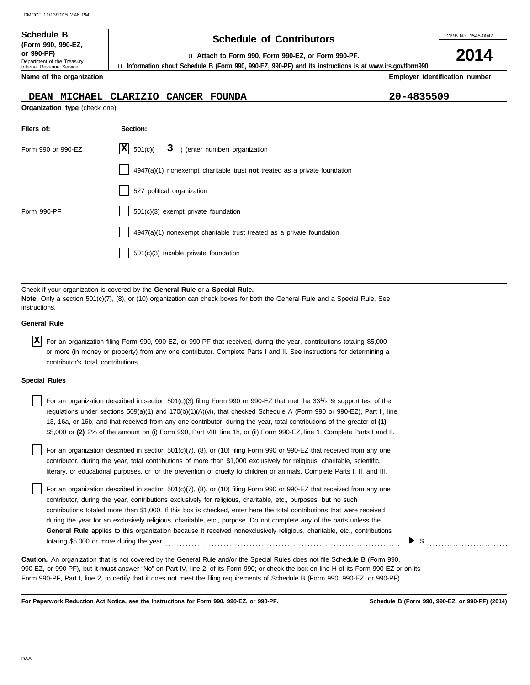| <b>Schedule B</b><br>(Form 990, 990-EZ,<br>or 990-PF)<br>Department of the Treasury<br>Internal Revenue Service | <b>Schedule of Contributors</b><br>u Attach to Form 990, Form 990-EZ, or Form 990-PF.<br><b>u</b> Information about Schedule B (Form 990, 990-EZ, 990-PF) and its instructions is at www.irs.gov/form990. |            | OMB No. 1545-0047<br>2014      |
|-----------------------------------------------------------------------------------------------------------------|-----------------------------------------------------------------------------------------------------------------------------------------------------------------------------------------------------------|------------|--------------------------------|
| Name of the organization                                                                                        |                                                                                                                                                                                                           |            | Employer identification number |
| <b>DEAN</b>                                                                                                     | MICHAEL CLARIZIO<br><b>CANCER</b><br><b>FOUNDA</b>                                                                                                                                                        | 20-4835509 |                                |
| <b>Organization type</b> (check one):                                                                           |                                                                                                                                                                                                           |            |                                |
| Filers of:                                                                                                      | Section:                                                                                                                                                                                                  |            |                                |
| Form 990 or 990-EZ                                                                                              | Iх<br>3 ) (enter number) organization<br>501(c)(                                                                                                                                                          |            |                                |
|                                                                                                                 | $4947(a)(1)$ nonexempt charitable trust not treated as a private foundation                                                                                                                               |            |                                |
|                                                                                                                 | 527 political organization                                                                                                                                                                                |            |                                |
| Form 990-PF                                                                                                     | 501(c)(3) exempt private foundation                                                                                                                                                                       |            |                                |
|                                                                                                                 | 4947(a)(1) nonexempt charitable trust treated as a private foundation                                                                                                                                     |            |                                |
|                                                                                                                 | $501(c)(3)$ taxable private foundation                                                                                                                                                                    |            |                                |

Check if your organization is covered by the **General Rule** or a **Special Rule. Note.** Only a section 501(c)(7), (8), or (10) organization can check boxes for both the General Rule and a Special Rule. See instructions.

#### **General Rule**

For an organization filing Form 990, 990-EZ, or 990-PF that received, during the year, contributions totaling \$5,000 **X** or more (in money or property) from any one contributor. Complete Parts I and II. See instructions for determining a contributor's total contributions.

#### **Special Rules**

| For an organization described in section 501(c)(3) filing Form 990 or 990-EZ that met the 33 <sup>1</sup> /3 % support test of the |
|------------------------------------------------------------------------------------------------------------------------------------|
| regulations under sections 509(a)(1) and 170(b)(1)(A)(vi), that checked Schedule A (Form 990 or 990-EZ), Part II, line             |
| 13, 16a, or 16b, and that received from any one contributor, during the year, total contributions of the greater of (1)            |
| \$5,000 or (2) 2% of the amount on (i) Form 990, Part VIII, line 1h, or (ii) Form 990-EZ, line 1. Complete Parts I and II.         |
| $\vert$ For an organization described in section 501(c)(7), (8), or (10) filing Form 990 or 990-EZ that received from any one      |

literary, or educational purposes, or for the prevention of cruelty to children or animals. Complete Parts I, II, and III. contributor, during the year, total contributions of more than \$1,000 exclusively for religious, charitable, scientific,

For an organization described in section 501(c)(7), (8), or (10) filing Form 990 or 990-EZ that received from any one contributor, during the year, contributions exclusively for religious, charitable, etc., purposes, but no such contributions totaled more than \$1,000. If this box is checked, enter here the total contributions that were received during the year for an exclusively religious, charitable, etc., purpose. Do not complete any of the parts unless the **General Rule** applies to this organization because it received nonexclusively religious, charitable, etc., contributions totaling \$5,000 or more during the year . . . . . . . . . . . . . . . . . . . . . . . . . . . . . . . . . . . . . . . . . . . . . . . . . . . . . . . . . . . . . . . . . . . . . . . . . . . . . . . . .

990-EZ, or 990-PF), but it **must** answer "No" on Part IV, line 2, of its Form 990; or check the box on line H of its Form 990-EZ or on its Form 990-PF, Part I, line 2, to certify that it does not meet the filing requirements of Schedule B (Form 990, 990-EZ, or 990-PF). **Caution.** An organization that is not covered by the General Rule and/or the Special Rules does not file Schedule B (Form 990,

**For Paperwork Reduction Act Notice, see the Instructions for Form 990, 990-EZ, or 990-PF.**

\$ . . . . . . . . . . . . . . . . . . . . . . . . . . . .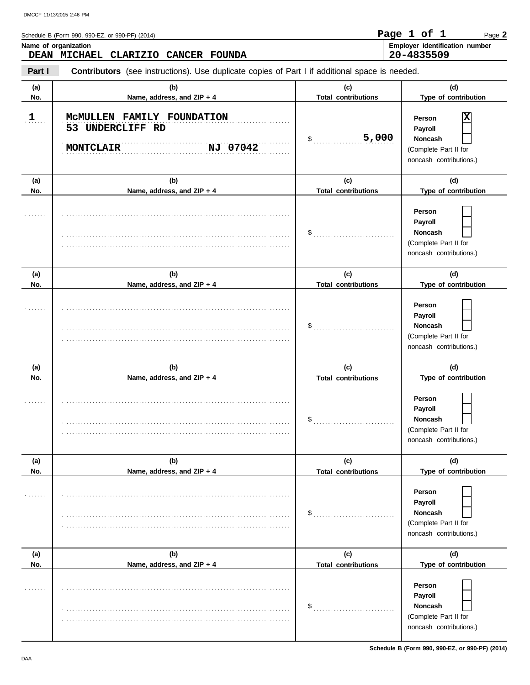| Schedule B (Form 990, 990-EZ, or 990-PF) (2014)             | Page 1 of 1 |            | Page 2                                |
|-------------------------------------------------------------|-------------|------------|---------------------------------------|
| Name of organization<br>DEAN MICHAEL CLARIZIO CANCER FOUNDA |             | 20-4835509 | <b>Employer identification number</b> |
|                                                             |             |            |                                       |

**Part I Contributors** (see instructions). Use duplicate copies of Part I if additional space is needed.

| (a)<br>No.         | (b)<br>Name, address, and ZIP + 4                                              | (c)<br><b>Total contributions</b> | (d)<br>Type of contribution                                                                              |
|--------------------|--------------------------------------------------------------------------------|-----------------------------------|----------------------------------------------------------------------------------------------------------|
| $\overline{1}$     | MCMULLEN FAMILY FOUNDATION<br>53 UNDERCLIFF RD<br>NJ 07042<br><b>MONTCLAIR</b> | 5,000<br>\$                       | Person<br>Payroll<br>Noncash<br>(Complete Part II for<br>noncash contributions.)                         |
| (a)<br>No.         | (b)<br>Name, address, and ZIP + 4                                              | (c)<br><b>Total contributions</b> | (d)<br>Type of contribution                                                                              |
|                    |                                                                                | \$                                | Person<br>Payroll<br>Noncash<br>(Complete Part II for<br>noncash contributions.)                         |
| (a)<br>No.         | (b)<br>Name, address, and ZIP + 4                                              | (c)<br><b>Total contributions</b> | (d)<br>Type of contribution                                                                              |
|                    |                                                                                | \$                                | Person<br>Payroll<br><b>Noncash</b><br>(Complete Part II for<br>noncash contributions.)                  |
|                    |                                                                                |                                   |                                                                                                          |
| (a)<br>No.         | (b)<br>Name, address, and ZIP + 4                                              | (c)<br><b>Total contributions</b> | (d)<br>Type of contribution                                                                              |
|                    |                                                                                | \$                                | Person<br>Payroll<br><b>Noncash</b><br>(Complete Part II for<br>noncash contributions.)                  |
| (a)                | (b)                                                                            | (c)                               | (d)                                                                                                      |
| No.<br>1.1.1.1.1.1 | Name, address, and ZIP + 4                                                     | <b>Total contributions</b><br>\$  | Type of contribution<br>Person<br>Payroll<br>Noncash<br>(Complete Part II for<br>noncash contributions.) |
| (a)<br>No.         | (b)<br>Name, address, and ZIP + 4                                              | (c)<br><b>Total contributions</b> | (d)<br>Type of contribution                                                                              |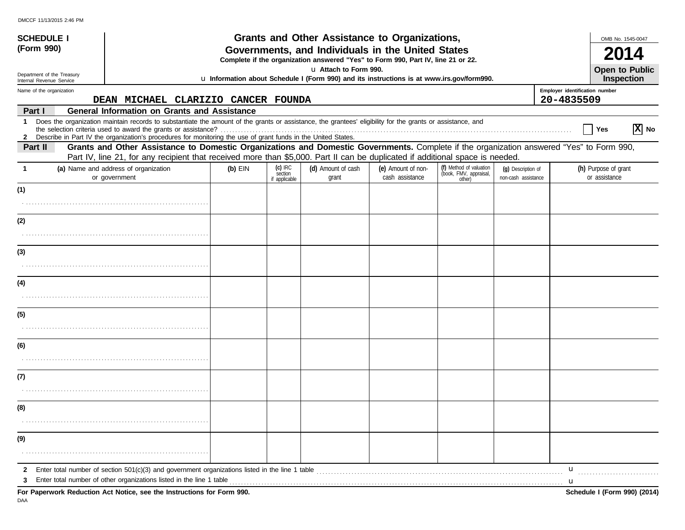| <b>SCHEDULE I</b><br>(Form 990)                        |                                                                                                                                                                                                                                                                               | Grants and Other Assistance to Organizations,<br>Governments, and Individuals in the United States |                                       |                                                                                  |                                       |                                                             | OMB No. 1545-0047                         |                                              |
|--------------------------------------------------------|-------------------------------------------------------------------------------------------------------------------------------------------------------------------------------------------------------------------------------------------------------------------------------|----------------------------------------------------------------------------------------------------|---------------------------------------|----------------------------------------------------------------------------------|---------------------------------------|-------------------------------------------------------------|-------------------------------------------|----------------------------------------------|
|                                                        |                                                                                                                                                                                                                                                                               |                                                                                                    |                                       | Complete if the organization answered "Yes" to Form 990, Part IV, line 21 or 22. |                                       |                                                             |                                           |                                              |
| Department of the Treasury<br>Internal Revenue Service | u Attach to Form 990.<br>La Information about Schedule I (Form 990) and its instructions is at www.irs.gov/form990.                                                                                                                                                           |                                                                                                    |                                       |                                                                                  |                                       |                                                             |                                           | Open to Public<br>Inspection                 |
| Name of the organization                               | DEAN MICHAEL CLARIZIO CANCER FOUNDA                                                                                                                                                                                                                                           |                                                                                                    |                                       |                                                                                  |                                       |                                                             |                                           | Employer identification number<br>20-4835509 |
| Part I                                                 | <b>General Information on Grants and Assistance</b>                                                                                                                                                                                                                           |                                                                                                    |                                       |                                                                                  |                                       |                                                             |                                           |                                              |
| $\mathbf{1}$                                           | Does the organization maintain records to substantiate the amount of the grants or assistance, the grantees' eligibility for the grants or assistance, and<br>2 Describe in Part IV the organization's procedures for monitoring the use of grant funds in the United States. |                                                                                                    |                                       |                                                                                  |                                       |                                                             |                                           | $ \mathbf{X} $ No<br>Yes                     |
| Part II                                                | Grants and Other Assistance to Domestic Organizations and Domestic Governments. Complete if the organization answered "Yes" to Form 990,<br>Part IV, line 21, for any recipient that received more than \$5,000. Part II can be duplicated if additional space is needed.     |                                                                                                    |                                       |                                                                                  |                                       |                                                             |                                           |                                              |
| $\mathbf 1$                                            | (a) Name and address of organization<br>or government                                                                                                                                                                                                                         | $(b)$ EIN                                                                                          | $(c)$ IRC<br>section<br>if applicable | (d) Amount of cash<br>grant                                                      | (e) Amount of non-<br>cash assistance | (f) Method of valuation<br>(book, FMV, appraisal,<br>other) | (q) Description of<br>non-cash assistance | (h) Purpose of grant<br>or assistance        |
| (1)                                                    |                                                                                                                                                                                                                                                                               |                                                                                                    |                                       |                                                                                  |                                       |                                                             |                                           |                                              |
| (2)                                                    |                                                                                                                                                                                                                                                                               |                                                                                                    |                                       |                                                                                  |                                       |                                                             |                                           |                                              |
|                                                        |                                                                                                                                                                                                                                                                               |                                                                                                    |                                       |                                                                                  |                                       |                                                             |                                           |                                              |
| (3)                                                    |                                                                                                                                                                                                                                                                               |                                                                                                    |                                       |                                                                                  |                                       |                                                             |                                           |                                              |
|                                                        |                                                                                                                                                                                                                                                                               |                                                                                                    |                                       |                                                                                  |                                       |                                                             |                                           |                                              |
| (4)                                                    |                                                                                                                                                                                                                                                                               |                                                                                                    |                                       |                                                                                  |                                       |                                                             |                                           |                                              |
| (5)                                                    |                                                                                                                                                                                                                                                                               |                                                                                                    |                                       |                                                                                  |                                       |                                                             |                                           |                                              |
|                                                        |                                                                                                                                                                                                                                                                               |                                                                                                    |                                       |                                                                                  |                                       |                                                             |                                           |                                              |
| (6)                                                    |                                                                                                                                                                                                                                                                               |                                                                                                    |                                       |                                                                                  |                                       |                                                             |                                           |                                              |
|                                                        |                                                                                                                                                                                                                                                                               |                                                                                                    |                                       |                                                                                  |                                       |                                                             |                                           |                                              |
| (7)                                                    |                                                                                                                                                                                                                                                                               |                                                                                                    |                                       |                                                                                  |                                       |                                                             |                                           |                                              |
|                                                        |                                                                                                                                                                                                                                                                               |                                                                                                    |                                       |                                                                                  |                                       |                                                             |                                           |                                              |
| (8)                                                    |                                                                                                                                                                                                                                                                               |                                                                                                    |                                       |                                                                                  |                                       |                                                             |                                           |                                              |
| (9)                                                    |                                                                                                                                                                                                                                                                               |                                                                                                    |                                       |                                                                                  |                                       |                                                             |                                           |                                              |
|                                                        |                                                                                                                                                                                                                                                                               |                                                                                                    |                                       |                                                                                  |                                       |                                                             |                                           |                                              |
| 2                                                      | Enter total number of section 501(c)(3) and government organizations listed in the line 1 table                                                                                                                                                                               |                                                                                                    |                                       |                                                                                  |                                       |                                                             |                                           | $\mathbf u$                                  |
| 3                                                      | Enter total number of other organizations listed in the line 1 table<br>For Paperwork Reduction Act Notice, see the Instructions for Form 990.                                                                                                                                |                                                                                                    |                                       |                                                                                  |                                       |                                                             |                                           | u<br>Schedule I (Form 990) (2014)            |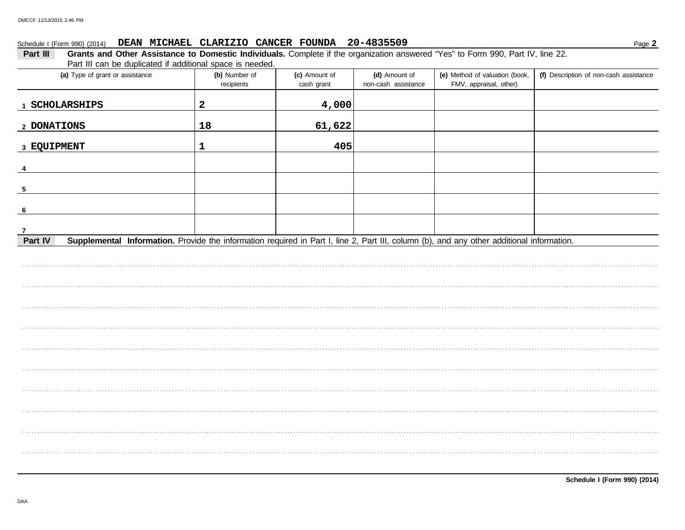$\overline{\phantom{a}}$ 

# Schedule I (Form 990) (2014) DEAN MICHAEL CLARIZIO CANCER FOUNDA 20-4835509

| Part III<br>Grants and Other Assistance to Domestic Individuals. Complete if the organization answered "Yes" to Form 990, Part IV, line 22.<br>Part III can be duplicated if additional space is needed. |                             |                             |                                      |                                                          |                                        |
|----------------------------------------------------------------------------------------------------------------------------------------------------------------------------------------------------------|-----------------------------|-----------------------------|--------------------------------------|----------------------------------------------------------|----------------------------------------|
| (a) Type of grant or assistance                                                                                                                                                                          | (b) Number of<br>recipients | (c) Amount of<br>cash grant | (d) Amount of<br>non-cash assistance | (e) Method of valuation (book,<br>FMV, appraisal, other) | (f) Description of non-cash assistance |
| 1 SCHOLARSHIPS                                                                                                                                                                                           | $\mathbf{2}$                | 4,000                       |                                      |                                                          |                                        |
| 2 DONATIONS                                                                                                                                                                                              | 18                          | 61,622                      |                                      |                                                          |                                        |
| 3 EQUIPMENT                                                                                                                                                                                              | 1                           | 405                         |                                      |                                                          |                                        |
| $\overline{4}$                                                                                                                                                                                           |                             |                             |                                      |                                                          |                                        |
| 5                                                                                                                                                                                                        |                             |                             |                                      |                                                          |                                        |
| 6                                                                                                                                                                                                        |                             |                             |                                      |                                                          |                                        |
| $\mathbf{7}$                                                                                                                                                                                             |                             |                             |                                      |                                                          |                                        |
| Part IV<br>Supplemental Information. Provide the information required in Part I, line 2, Part III, column (b), and any other additional information.                                                     |                             |                             |                                      |                                                          |                                        |
|                                                                                                                                                                                                          |                             |                             |                                      |                                                          |                                        |
|                                                                                                                                                                                                          |                             |                             |                                      |                                                          |                                        |
|                                                                                                                                                                                                          |                             |                             |                                      |                                                          |                                        |
|                                                                                                                                                                                                          |                             |                             |                                      |                                                          |                                        |
|                                                                                                                                                                                                          |                             |                             |                                      |                                                          |                                        |
|                                                                                                                                                                                                          |                             |                             |                                      |                                                          |                                        |
|                                                                                                                                                                                                          |                             |                             |                                      |                                                          |                                        |
|                                                                                                                                                                                                          |                             |                             |                                      |                                                          |                                        |
|                                                                                                                                                                                                          |                             |                             |                                      |                                                          |                                        |
|                                                                                                                                                                                                          |                             |                             |                                      |                                                          |                                        |
|                                                                                                                                                                                                          |                             |                             |                                      |                                                          |                                        |

 $\overline{\phantom{a}}$ Ξ Ξ

 $\overline{\phantom{a}}$ 

 $\overline{\phantom{a}}$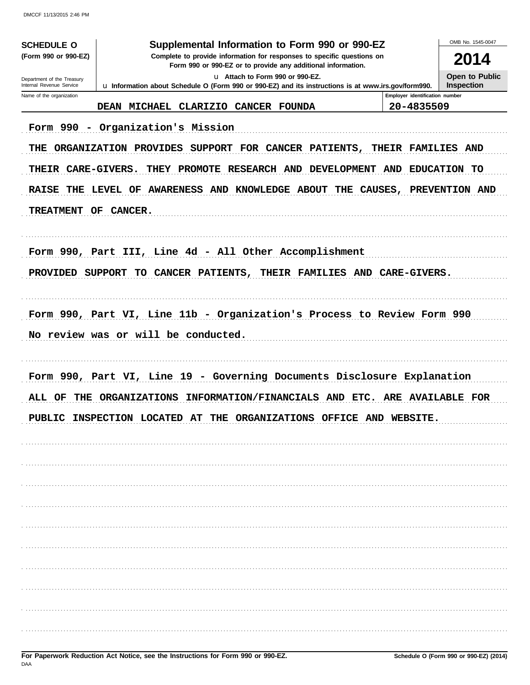DMCCF 11/13/2015 2:46 PM

| <b>SCHEDULE O</b>                                      | Supplemental Information to Form 990 or 990-EZ                                                                                         |                                              | OMB No. 1545-0047 |  |
|--------------------------------------------------------|----------------------------------------------------------------------------------------------------------------------------------------|----------------------------------------------|-------------------|--|
| (Form 990 or 990-EZ)                                   | Complete to provide information for responses to specific questions on                                                                 | 2014                                         |                   |  |
| Department of the Treasury<br>Internal Revenue Service | u Attach to Form 990 or 990-EZ.<br>u Information about Schedule O (Form 990 or 990-EZ) and its instructions is at www.irs.gov/form990. |                                              |                   |  |
| Name of the organization                               | CLARIZIO CANCER FOUNDA<br><b>DEAN</b><br><b>MICHAEL</b>                                                                                | Employer identification number<br>20-4835509 |                   |  |
|                                                        |                                                                                                                                        |                                              |                   |  |
|                                                        | Form 990 - Organization's Mission                                                                                                      |                                              |                   |  |
| THE                                                    | ORGANIZATION PROVIDES SUPPORT FOR CANCER PATIENTS,                                                                                     | THEIR FAMILIES AND                           |                   |  |
| THEIR CARE-GIVERS.                                     | THEY PROMOTE RESEARCH AND DEVELOPMENT AND                                                                                              |                                              | EDUCATION TO      |  |
| RAISE THE LEVEL OF                                     | AWARENESS AND KNOWLEDGE ABOUT THE CAUSES, PREVENTION AND                                                                               |                                              |                   |  |
| TREATMENT OF CANCER.                                   |                                                                                                                                        |                                              |                   |  |
|                                                        |                                                                                                                                        |                                              |                   |  |
|                                                        | Form 990, Part III, Line 4d - All Other Accomplishment                                                                                 |                                              |                   |  |
| PROVIDED SUPPORT                                       | TO CANCER PATIENTS, THEIR FAMILIES AND CARE-GIVERS.                                                                                    |                                              |                   |  |
|                                                        |                                                                                                                                        |                                              |                   |  |
|                                                        |                                                                                                                                        |                                              |                   |  |
|                                                        | Form 990, Part VI, Line 11b - Organization's Process to Review Form 990                                                                |                                              |                   |  |
|                                                        | No review was or will be conducted.                                                                                                    |                                              |                   |  |
|                                                        |                                                                                                                                        |                                              |                   |  |
|                                                        | Form 990, Part VI, Line 19 - Governing Documents Disclosure Explanation                                                                |                                              |                   |  |
| ALL OF<br>THE                                          | INFORMATION/FINANCIALS AND ETC.<br><b>ORGANIZATIONS</b>                                                                                | ARE AVAILABLE FOR                            |                   |  |
| TITRT.TC                                               | TNSPRCTION LOCATED AT<br>THE ORGANIZATIONS OFFICE AND WERSITE                                                                          |                                              |                   |  |
|                                                        |                                                                                                                                        |                                              |                   |  |
|                                                        |                                                                                                                                        |                                              |                   |  |
|                                                        |                                                                                                                                        |                                              |                   |  |
|                                                        |                                                                                                                                        |                                              |                   |  |
|                                                        |                                                                                                                                        |                                              |                   |  |
|                                                        |                                                                                                                                        |                                              |                   |  |
|                                                        |                                                                                                                                        |                                              |                   |  |
|                                                        |                                                                                                                                        |                                              |                   |  |
|                                                        |                                                                                                                                        |                                              |                   |  |
|                                                        |                                                                                                                                        |                                              |                   |  |
|                                                        |                                                                                                                                        |                                              |                   |  |
|                                                        |                                                                                                                                        |                                              |                   |  |

For Paperwork Reduction Act Notice, see the Instructions for Form 990 or 990-EZ. DAA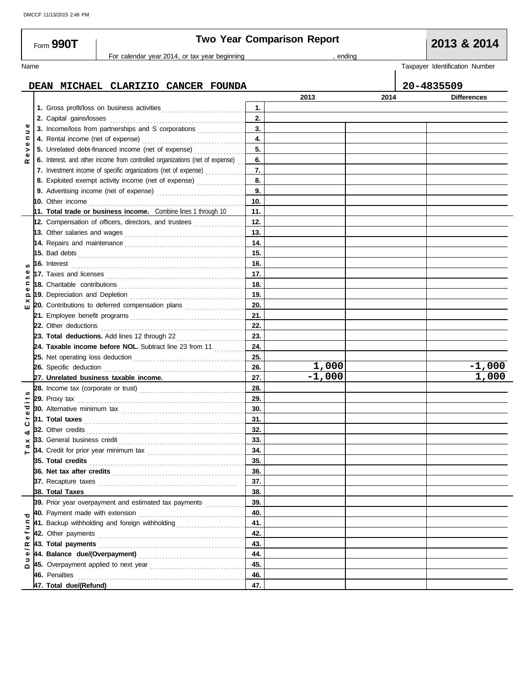|  |  | DMCCF 11/13/2015 2:46 PM |  |  |
|--|--|--------------------------|--|--|
|--|--|--------------------------|--|--|

|          | Form 990T                          |                                                                                                                                                                                                                                           |          | <b>Two Year Comparison Report</b> |      | 2013 & 2014                    |
|----------|------------------------------------|-------------------------------------------------------------------------------------------------------------------------------------------------------------------------------------------------------------------------------------------|----------|-----------------------------------|------|--------------------------------|
|          |                                    | For calendar year 2014, or tax year beginning                                                                                                                                                                                             |          | , ending                          |      |                                |
| Name     |                                    |                                                                                                                                                                                                                                           |          |                                   |      | Taxpayer Identification Number |
|          |                                    |                                                                                                                                                                                                                                           |          |                                   |      |                                |
|          |                                    | DEAN MICHAEL CLARIZIO CANCER FOUNDA                                                                                                                                                                                                       |          |                                   |      | 20-4835509                     |
|          |                                    |                                                                                                                                                                                                                                           |          | 2013                              | 2014 | <b>Differences</b>             |
|          |                                    |                                                                                                                                                                                                                                           | 1.       |                                   |      |                                |
| ω        | 2. Capital gains/losses            |                                                                                                                                                                                                                                           | 2.       |                                   |      |                                |
| Ξ<br>Ξ   |                                    | 3. Income/loss from partnerships and S corporations                                                                                                                                                                                       | 3.<br>4. |                                   |      |                                |
| Φ        | 4. Rental income (net of expense)  |                                                                                                                                                                                                                                           | 5.       |                                   |      |                                |
| ><br>Φ   |                                    | 5. Unrelated debt-financed income (net of expense)<br>6. Interest, and other income from controlled organizations (net of expense)                                                                                                        | 6.       |                                   |      |                                |
| ≃        |                                    | 7. Investment income of specific organizations (net of expense)                                                                                                                                                                           | 7.       |                                   |      |                                |
|          |                                    |                                                                                                                                                                                                                                           | 8.       |                                   |      |                                |
|          |                                    | 8. Exploited exempt activity income (net of expense)                                                                                                                                                                                      | 9.       |                                   |      |                                |
|          | 10. Other income                   |                                                                                                                                                                                                                                           | 10.      |                                   |      |                                |
|          |                                    | 11. Total trade or business income. Combine lines 1 through 10                                                                                                                                                                            | 11.      |                                   |      |                                |
|          |                                    |                                                                                                                                                                                                                                           | 12.      |                                   |      |                                |
|          |                                    |                                                                                                                                                                                                                                           | 13.      |                                   |      |                                |
|          |                                    | 13. Other salaries and wages $\frac{1}{1}$                                                                                                                                                                                                | 14.      |                                   |      |                                |
|          |                                    | 14. Repairs and maintenance <i>communically</i> contained a series and maintenance and maintenance and a series and main                                                                                                                  | 15.      |                                   |      |                                |
|          |                                    |                                                                                                                                                                                                                                           | 16.      |                                   |      |                                |
| S<br>Φ   |                                    | <b>16.</b> Interest <b>contract to the contract of the contract of the contract of the contract of the contract of the contract of the contract of the contract of the contract of the contract of the contract of the contract of th</b> | 17.      |                                   |      |                                |
| ഗ<br>c   |                                    | 17. Taxes and licenses $\ldots \ldots \ldots \ldots \ldots \ldots \ldots \ldots \ldots \ldots \ldots \ldots$                                                                                                                              | 18.      |                                   |      |                                |
| Φ<br>௨   |                                    |                                                                                                                                                                                                                                           | 19.      |                                   |      |                                |
|          |                                    | 20. Contributions to deferred compensation plans [11] Contributions to deferred compensation plans                                                                                                                                        | 20.      |                                   |      |                                |
| ш        |                                    |                                                                                                                                                                                                                                           | 21.      |                                   |      |                                |
|          |                                    |                                                                                                                                                                                                                                           | 22.      |                                   |      |                                |
|          |                                    | 23. Total deductions. Add lines 12 through 22                                                                                                                                                                                             | 23.      |                                   |      |                                |
|          |                                    | 24. Taxable income before NOL. Subtract line 23 from 11                                                                                                                                                                                   | 24.      |                                   |      |                                |
|          |                                    | .                                                                                                                                                                                                                                         | 25.      |                                   |      |                                |
|          |                                    |                                                                                                                                                                                                                                           | 26.      | 1,000                             |      | $-1,000$                       |
|          |                                    | 27. Unrelated business taxable income.                                                                                                                                                                                                    | 27.      | $-1,000$                          |      | 1,000                          |
|          |                                    |                                                                                                                                                                                                                                           | 28.      |                                   |      |                                |
|          |                                    |                                                                                                                                                                                                                                           | 29.      |                                   |      |                                |
| ᅙ        | <b>30.</b> Alternative minimum tax |                                                                                                                                                                                                                                           | 30.      |                                   |      |                                |
|          |                                    |                                                                                                                                                                                                                                           | 31.      |                                   |      |                                |
| ပ        |                                    |                                                                                                                                                                                                                                           | 32.      |                                   |      |                                |
| య<br>×   |                                    |                                                                                                                                                                                                                                           | 33.      |                                   |      |                                |
| ⊢        |                                    |                                                                                                                                                                                                                                           | 34.      |                                   |      |                                |
|          |                                    |                                                                                                                                                                                                                                           | 35.      |                                   |      |                                |
|          |                                    |                                                                                                                                                                                                                                           | 36.      |                                   |      |                                |
|          |                                    |                                                                                                                                                                                                                                           | 37.      |                                   |      |                                |
|          | 38. Total Taxes                    |                                                                                                                                                                                                                                           | 38.      |                                   |      |                                |
|          |                                    | 39. Prior year overpayment and estimated tax payments                                                                                                                                                                                     | 39.      |                                   |      |                                |
| ᇴ        |                                    |                                                                                                                                                                                                                                           | 40.      |                                   |      |                                |
| ⊆<br>っ   |                                    | 41. Backup withholding and foreign withholding                                                                                                                                                                                            | 41.      |                                   |      |                                |
| Φ        |                                    |                                                                                                                                                                                                                                           | 42.      |                                   |      |                                |
| ≃        |                                    |                                                                                                                                                                                                                                           | 43.      |                                   |      |                                |
| Φ        |                                    |                                                                                                                                                                                                                                           | 44.      |                                   |      |                                |
| $\Omega$ |                                    |                                                                                                                                                                                                                                           | 45.      |                                   |      |                                |
|          |                                    |                                                                                                                                                                                                                                           | 46.      |                                   |      |                                |
|          | 47. Total due/(Refund)             |                                                                                                                                                                                                                                           | 47.      |                                   |      |                                |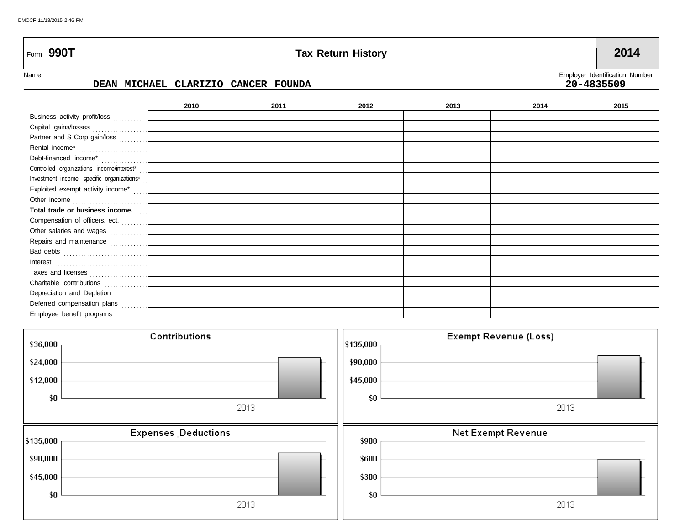# Form **990T Tax Return History 2014**

### Name **Employer Identification Number DEAN MICHAEL CLARIZIO CANCER FOUNDA 20-4835509**

|                                           | 2010 | 2011 | 2012 | 2013 | 2014 | 2015 |
|-------------------------------------------|------|------|------|------|------|------|
|                                           |      |      |      |      |      |      |
|                                           |      |      |      |      |      |      |
|                                           |      |      |      |      |      |      |
|                                           |      |      |      |      |      |      |
|                                           |      |      |      |      |      |      |
| Controlled organizations income/interest* |      |      |      |      |      |      |
|                                           |      |      |      |      |      |      |
|                                           |      |      |      |      |      |      |
|                                           |      |      |      |      |      |      |
| Total trade or business income.           |      |      |      |      |      |      |
|                                           |      |      |      |      |      |      |
|                                           |      |      |      |      |      |      |
|                                           |      |      |      |      |      |      |
|                                           |      |      |      |      |      |      |
| Interest<br><br><u> </u>                  |      |      |      |      |      |      |
|                                           |      |      |      |      |      |      |
|                                           |      |      |      |      |      |      |
|                                           |      |      |      |      |      |      |
|                                           |      |      |      |      |      |      |
|                                           |      |      |      |      |      |      |

| \$36,000  | Contributions              | \$135,000 | <b>Exempt Revenue (Loss)</b> |
|-----------|----------------------------|-----------|------------------------------|
| \$24,000  |                            | \$90,000  |                              |
| \$12,000  |                            | \$45,000  |                              |
| \$0       |                            | \$0       |                              |
|           | 2013                       |           | 2013                         |
|           |                            |           |                              |
| \$135,000 | <b>Expenses Deductions</b> | \$900     | Net Exempt Revenue           |
| \$90,000  |                            | \$600     |                              |
| \$45,000  |                            | \$300     |                              |
| \$0       | 2013                       | \$0       | 2013                         |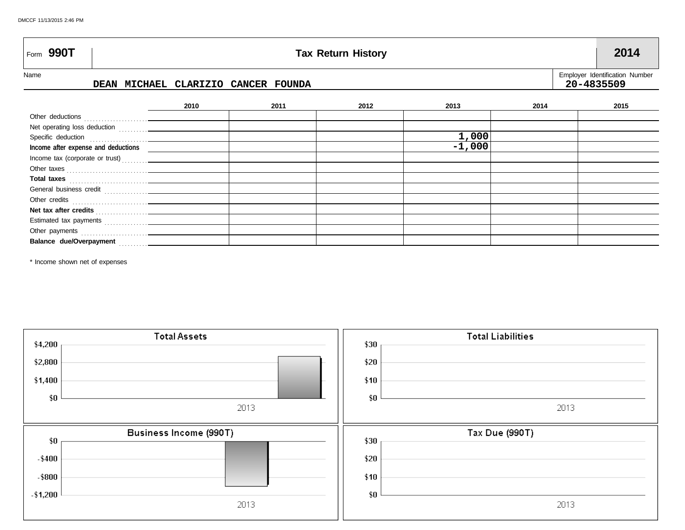# Form 990T | 2014

Name **Employer Identification Number** Number 1, 1999, 1999, 1999, 1999, 1999, 1999, 1999, 1999, 1999, 1999, 1999, 1999, 1999, 1999, 1999, 1999, 1999, 1999, 1999, 1999, 1999, 1999, 1999, 1999, 1999, 1999, 1999, 1999, 1999,

#### **DEAN MICHAEL CLARIZIO CANCER FOUNDA 20-4835509**

|                                     | 2010 | 2011 | 2012 | 2013     | 2014 | 2015 |
|-------------------------------------|------|------|------|----------|------|------|
|                                     |      |      |      |          |      |      |
| Net operating loss deduction        |      |      |      |          |      |      |
| Specific deduction                  |      |      |      | 1,000    |      |      |
| Income after expense and deductions |      |      |      | $-1,000$ |      |      |
| Income tax (corporate or trust)     |      |      |      |          |      |      |
| Other taxes                         |      |      |      |          |      |      |
|                                     |      |      |      |          |      |      |
| General business credit             |      |      |      |          |      |      |
|                                     |      |      |      |          |      |      |
| Net tax after credits               |      |      |      |          |      |      |
| Estimated tax payments              |      |      |      |          |      |      |
|                                     |      |      |      |          |      |      |
| Balance due/Overpayment             |      |      |      |          |      |      |

\* Income shown net of expenses